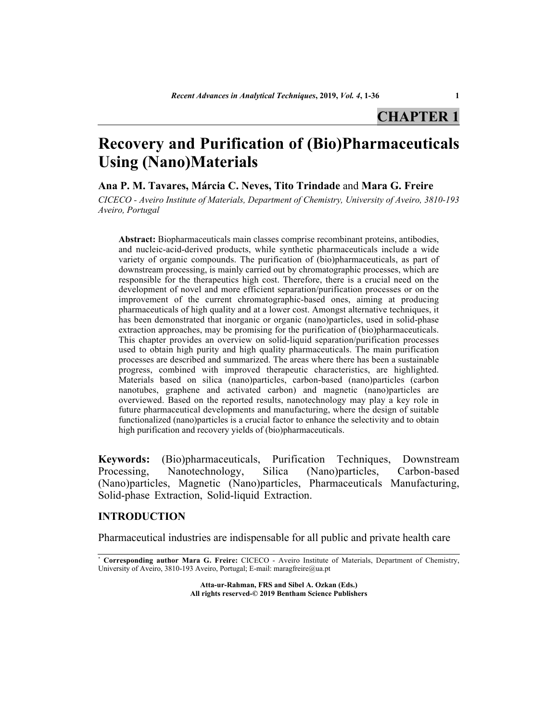# **Recovery and Purification of (Bio)Pharmaceuticals Using (Nano)Materials**

**Ana P. M. Tavares, Márcia C. Neves, Tito Trindade** and **Mara G. Freire**

*CICECO - Aveiro Institute of Materials, Department of Chemistry, University of Aveiro, 3810-193 Aveiro, Portugal*

**Abstract:** Biopharmaceuticals main classes comprise recombinant proteins, antibodies, and nucleic-acid-derived products, while synthetic pharmaceuticals include a wide variety of organic compounds. The purification of (bio)pharmaceuticals, as part of downstream processing, is mainly carried out by chromatographic processes, which are responsible for the therapeutics high cost. Therefore, there is a crucial need on the development of novel and more efficient separation/purification processes or on the improvement of the current chromatographic-based ones, aiming at producing pharmaceuticals of high quality and at a lower cost. Amongst alternative techniques, it has been demonstrated that inorganic or organic (nano)particles, used in solid-phase extraction approaches, may be promising for the purification of (bio)pharmaceuticals. This chapter provides an overview on solid-liquid separation/purification processes used to obtain high purity and high quality pharmaceuticals. The main purification processes are described and summarized. The areas where there has been a sustainable progress, combined with improved therapeutic characteristics, are highlighted. Materials based on silica (nano)particles, carbon-based (nano)particles (carbon nanotubes, graphene and activated carbon) and magnetic (nano)particles are overviewed. Based on the reported results, nanotechnology may play a key role in future pharmaceutical developments and manufacturing, where the design of suitable functionalized (nano)particles is a crucial factor to enhance the selectivity and to obtain high purification and recovery yields of (bio)pharmaceuticals.

**Keywords:** (Bio)pharmaceuticals, Purification Techniques, Downstream Processing, Nanotechnology, Silica (Nano)particles, Carbon-based (Nano)particles, Magnetic (Nano)particles, Pharmaceuticals Manufacturing, Solid-phase Extraction, Solid-liquid Extraction.

## **INTRODUCTION**

Pharmaceutical industries are indispensable for all public and private health care

**Atta-ur-Rahman, FRS and Sibel A. Ozkan (Eds.) All rights reserved-© 2019 Bentham Science Publishers**

<sup>\*</sup> **Corresponding author Mara G. Freire:** CICECO - Aveiro Institute of Materials, Department of Chemistry, University of Aveiro, 3810-193 Aveiro, Portugal; E-mail: [maragfreire@ua.pt](mailto:maragfreire@ua.pt)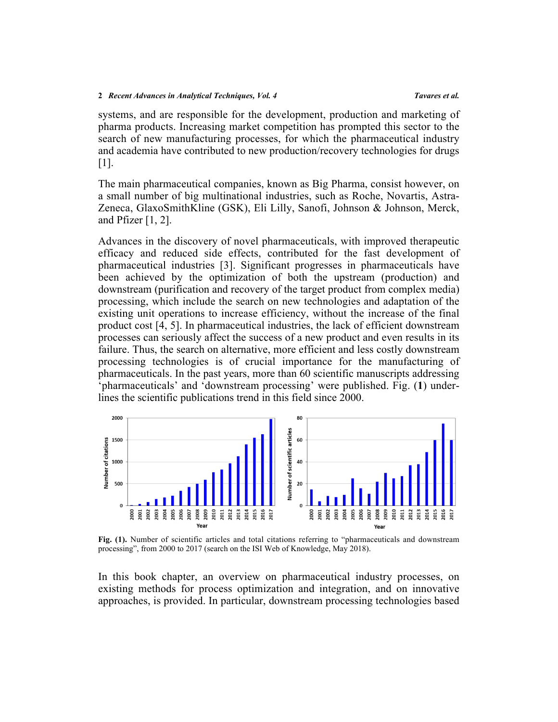systems, and are responsible for the development, production and marketing of pharma products. Increasing market competition has prompted this sector to the search of new manufacturing processes, for which the pharmaceutical industry and academia have contributed to new production/recovery technologies for drugs [[1\]](#page-26-0).

The main pharmaceutical companies, known as Big Pharma, consist however, on a small number of big multinational industries, such as Roche, Novartis, Astra-Zeneca, GlaxoSmithKline (GSK), Eli Lilly, Sanofi, Johnson & Johnson, Merck, and Pfizer [[1,](#page-26-0) [2\]](#page-27-0).

Advances in the discovery of novel pharmaceuticals, with improved therapeutic efficacy and reduced side effects, contributed for the fast development of pharmaceutical industries [\[3\]](#page-27-1). Significant progresses in pharmaceuticals have been achieved by the optimization of both the upstream (production) and downstream (purification and recovery of the target product from complex media) processing, which include the search on new technologies and adaptation of the existing unit operations to increase efficiency, without the increase of the final product cost [[4,](#page-27-2) [5\]](#page-27-3). In pharmaceutical industries, the lack of efficient downstream processes can seriously affect the success of a new product and even results in its failure. Thus, the search on alternative, more efficient and less costly downstream processing technologies is of crucial importance for the manufacturing of pharmaceuticals. In the past years, more than 60 scientific manuscripts addressing 'pharmaceuticals' and 'downstream processing' were published. Fig. (**[1](#page-1-0)**) underlines the scientific publications trend in this field since 2000.

<span id="page-1-0"></span>

**Fig. (1).** Number of scientific articles and total citations referring to "pharmaceuticals and downstream processing", from 2000 to 2017 (search on the ISI Web of Knowledge, May 2018).

In this book chapter, an overview on pharmaceutical industry processes, on existing methods for process optimization and integration, and on innovative approaches, is provided. In particular, downstream processing technologies based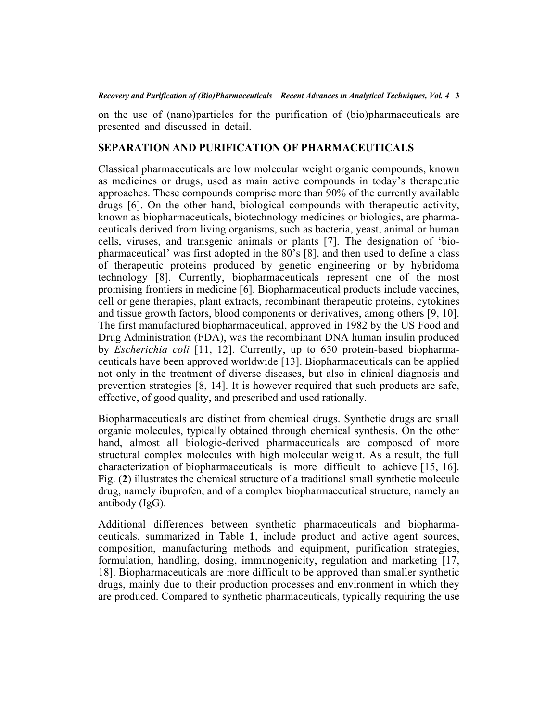on the use of (nano)particles for the purification of (bio)pharmaceuticals are presented and discussed in detail.

# **SEPARATION AND PURIFICATION OF PHARMACEUTICALS**

Classical pharmaceuticals are low molecular weight organic compounds, known as medicines or drugs, used as main active compounds in today's therapeutic approaches. These compounds comprise more than 90% of the currently available drugs[[6\]](#page-27-4). On the other hand, biological compounds with therapeutic activity, known as biopharmaceuticals, biotechnology medicines or biologics, are pharmaceuticals derived from living organisms, such as bacteria, yeast, animal or human cells, viruses, and transgenic animals or plants [\[7\]](#page-27-5). The designation of 'biopharmaceutical' was first adopted in the 80's [\[8](#page-27-6)], and then used to define a class of therapeutic proteins produced by genetic engineering or by hybridoma technology[[8\]](#page-27-6). Currently, biopharmaceuticals represent one of the most promising frontiers in medicine [[6\]](#page-27-4). Biopharmaceutical products include vaccines, cell or gene therapies, plant extracts, recombinant therapeutic proteins, cytokines and tissue growth factors, blood components or derivatives, among others [[9,](#page-27-7) [10](#page-27-8)]. The first manufactured biopharmaceutical, approved in 1982 by the US Food and Drug Administration (FDA), was the recombinant DNA human insulin produced by *Escherichia coli* [[11,](#page-27-9) [12\]](#page-27-10). Currently, up to 650 protein-based biopharmaceuticals have been approved worldwide [\[13\]](#page-27-11). Biopharmaceuticals can be applied not only in the treatment of diverse diseases, but also in clinical diagnosis and prevention strategies [\[8](#page-27-6), [14](#page-27-12)]. It is however required that such products are safe, effective, of good quality, and prescribed and used rationally.

Biopharmaceuticals are distinct from chemical drugs. Synthetic drugs are small organic molecules, typically obtained through chemical synthesis. On the other hand, almost all biologic-derived pharmaceuticals are composed of more structural complex molecules with high molecular weight. As a result, the full characterization of biopharmaceuticals is more difficult to achieve [[15,](#page-27-13) [16](#page-27-14)]. Fig. (**[2](#page-3-0)**) illustrates the chemical structure of a traditional small synthetic molecule drug, namely ibuprofen, and of a complex biopharmaceutical structure, namely an antibody (IgG).

Additional differences between synthetic pharmaceuticals and biopharmaceuticals, summarized in Table**1**, include product and active agent sources, composition, manufacturing methods and equipment, purification strategies, formulation, handling, dosing, immunogenicity, regulation and marketing[[17](#page-27-15), [18\]](#page-28-0). Biopharmaceuticals are more difficult to be approved than smaller synthetic drugs, mainly due to their production processes and environment in which they are produced. Compared to synthetic pharmaceuticals, typically requiring the use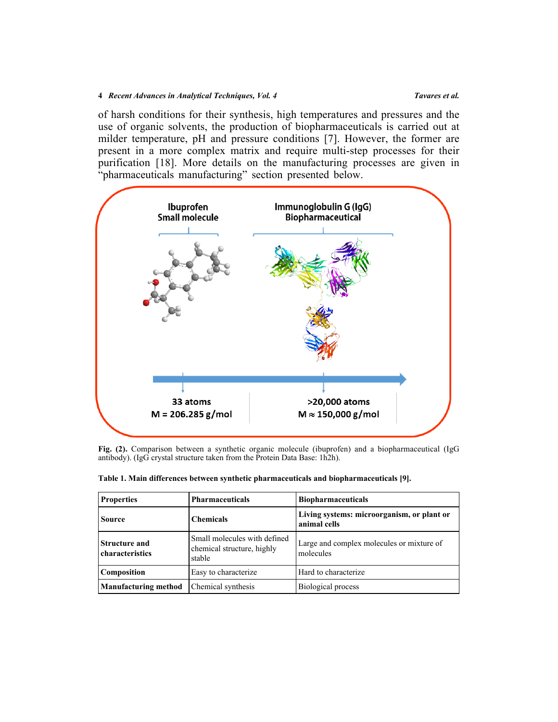of harsh conditions for their synthesis, high temperatures and pressures and the use of organic solvents, the production of biopharmaceuticals is carried out at milder temperature, pH and pressure conditions[[7\]](#page-27-5). However, the former are present in a more complex matrix and require multi-step processes for their purification[[18](#page-28-0)]. More details on the manufacturing processes are given in "pharmaceuticals manufacturing" section presented below.

<span id="page-3-0"></span>

**Fig. (2).** Comparison between a synthetic organic molecule (ibuprofen) and a biopharmaceutical (IgG antibody). (IgG crystal structure taken from the Protein Data Base: 1h2h).

| <b>Properties</b><br><b>Pharmaceuticals</b> |                                                                      | <b>Biopharmaceuticals</b>                                  |  |  |
|---------------------------------------------|----------------------------------------------------------------------|------------------------------------------------------------|--|--|
| <b>Source</b>                               | <b>Chemicals</b>                                                     | Living systems: microorganism, or plant or<br>animal cells |  |  |
| <b>Structure and</b><br>characteristics     | Small molecules with defined<br>chemical structure, highly<br>stable | Large and complex molecules or mixture of<br>molecules     |  |  |
| Composition                                 | Easy to characterize                                                 | Hard to characterize                                       |  |  |
| <b>Manufacturing method</b>                 | Chemical synthesis                                                   | Biological process                                         |  |  |

<span id="page-3-1"></span>

|  |  | Table 1. Main differences between synthetic pharmaceuticals and biopharmaceuticals [9]. |  |  |
|--|--|-----------------------------------------------------------------------------------------|--|--|
|  |  |                                                                                         |  |  |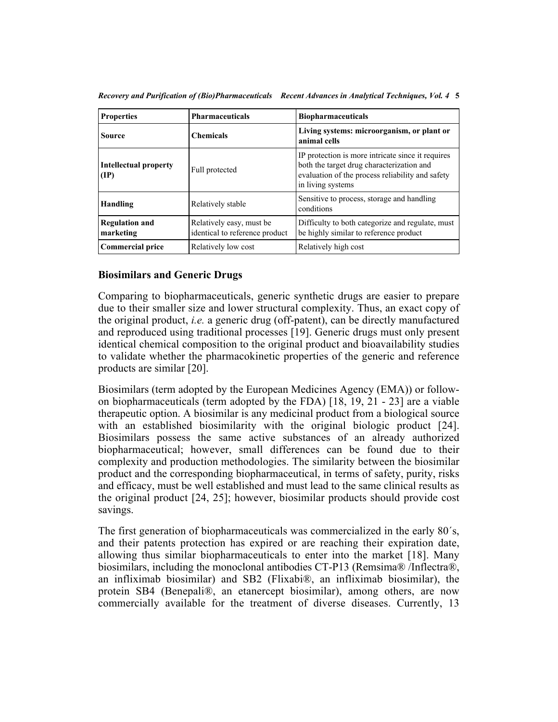| <b>Properties</b>                               | <b>Pharmaceuticals</b>                                      | <b>Biopharmaceuticals</b>                                                                                                                                               |
|-------------------------------------------------|-------------------------------------------------------------|-------------------------------------------------------------------------------------------------------------------------------------------------------------------------|
| Source                                          | <b>Chemicals</b>                                            | Living systems: microorganism, or plant or<br>animal cells                                                                                                              |
| <b>Intellectual property</b><br>$(\mathbf{IP})$ | Full protected                                              | IP protection is more intricate since it requires<br>both the target drug characterization and<br>evaluation of the process reliability and safety<br>in living systems |
| Handling                                        | Relatively stable                                           | Sensitive to process, storage and handling<br>conditions                                                                                                                |
| <b>Regulation and</b><br>marketing              | Relatively easy, must be.<br>identical to reference product | Difficulty to both categorize and regulate, must<br>be highly similar to reference product                                                                              |
| Commercial price                                | Relatively low cost                                         | Relatively high cost                                                                                                                                                    |

*Recovery and Purification of (Bio)Pharmaceuticals Recent Advances in Analytical Techniques, Vol. 4* **5**

## **Biosimilars and Generic Drugs**

Comparing to biopharmaceuticals, generic synthetic drugs are easier to prepare due to their smaller size and lower structural complexity. Thus, an exact copy of the original product, *i.e.* a generic drug (off-patent), can be directly manufactured and reproduced using traditional processes [\[19](#page-28-1)]. Generic drugs must only present identical chemical composition to the original product and bioavailability studies to validate whether the pharmacokinetic properties of the generic and reference products are similar [\[20](#page-28-2)].

Biosimilars (term adopted by the European Medicines Agency (EMA)) or followon biopharmaceuticals (term adopted by the FDA) [\[18,](#page-28-0) [19,](#page-28-1) [21](#page-28-3) - [23](#page-28-4)] are a viable therapeutic option. A biosimilar is any medicinal product from a biological source withan established biosimilarity with the original biologic product [[24](#page-28-5)]. Biosimilars possess the same active substances of an already authorized biopharmaceutical; however, small differences can be found due to their complexity and production methodologies. The similarity between the biosimilar product and the corresponding biopharmaceutical, in terms of safety, purity, risks and efficacy, must be well established and must lead to the same clinical results as the original product [\[24,](#page-28-5) [25\]](#page-28-6); however, biosimilar products should provide cost savings.

The first generation of biopharmaceuticals was commercialized in the early 80´s, and their patents protection has expired or are reaching their expiration date, allowing thus similar biopharmaceuticals to enter into the market[[18\]](#page-28-0). Many biosimilars, including the monoclonal antibodies CT-P13 (Remsima® /Inflectra®, an infliximab biosimilar) and SB2 (Flixabi®, an infliximab biosimilar), the protein SB4 (Benepali®, an etanercept biosimilar), among others, are now commercially available for the treatment of diverse diseases. Currently, 13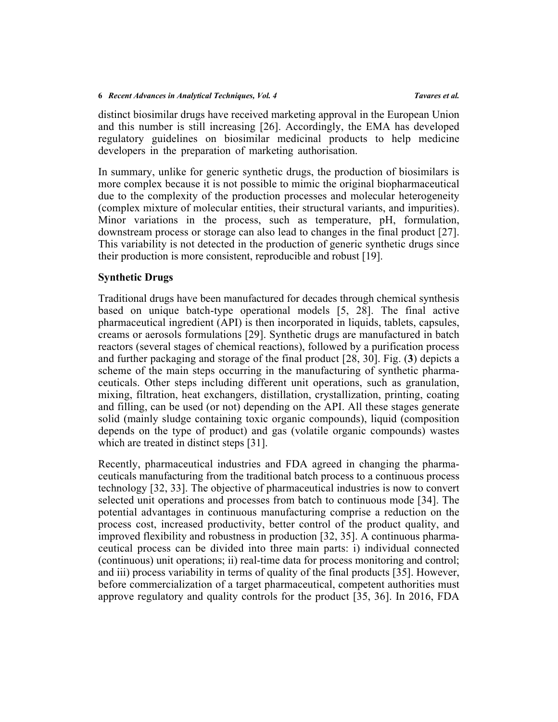distinct biosimilar drugs have received marketing approval in the European Union and this number is still increasing [\[26](#page-28-7)]. Accordingly, the EMA has developed regulatory guidelines on biosimilar medicinal products to help medicine developers in the preparation of marketing authorisation.

In summary, unlike for generic synthetic drugs, the production of biosimilars is more complex because it is not possible to mimic the original biopharmaceutical due to the complexity of the production processes and molecular heterogeneity (complex mixture of molecular entities, their structural variants, and impurities). Minor variations in the process, such as temperature, pH, formulation, downstream process or storage can also lead to changes in the final product [[27](#page-28-8)]. This variability is not detected in the production of generic synthetic drugs since their production is more consistent, reproducible and robust [\[19](#page-28-1)].

## **Synthetic Drugs**

Traditional drugs have been manufactured for decades through chemical synthesis based on unique batch-type operational models[[5,](#page-27-3) [28](#page-28-9)]. The final active pharmaceutical ingredient (API) is then incorporated in liquids, tablets, capsules, creams or aerosols formulations [[29](#page-28-10)]. Synthetic drugs are manufactured in batch reactors (several stages of chemical reactions), followed by a purification process and further packaging and storage of the final product [[28,](#page-28-9) [30](#page-28-11)]. Fig. (**[3](#page-6-0)**) depicts a scheme of the main steps occurring in the manufacturing of synthetic pharmaceuticals. Other steps including different unit operations, such as granulation, mixing, filtration, heat exchangers, distillation, crystallization, printing, coating and filling, can be used (or not) depending on the API. All these stages generate solid (mainly sludge containing toxic organic compounds), liquid (composition depends on the type of product) and gas (volatile organic compounds) wastes which are treated in distinct steps [\[31](#page-28-12)].

Recently, pharmaceutical industries and FDA agreed in changing the pharmaceuticals manufacturing from the traditional batch process to a continuous process technology [[32,](#page-28-13) [33](#page-28-14)]. The objective of pharmaceutical industries is now to convert selected unit operations and processes from batch to continuous mode [\[34\]](#page-29-0). The potential advantages in continuous manufacturing comprise a reduction on the process cost, increased productivity, better control of the product quality, and improved flexibility and robustness in production [\[32](#page-28-13), [35\]](#page-29-1). A continuous pharmaceutical process can be divided into three main parts: i) individual connected (continuous) unit operations; ii) real-time data for process monitoring and control; and iii) process variability in terms of quality of the final products [[35\]](#page-29-1). However, before commercialization of a target pharmaceutical, competent authorities must approve regulatory and quality controls for the product [[35,](#page-29-1) [36](#page-29-2)]. In 2016, FDA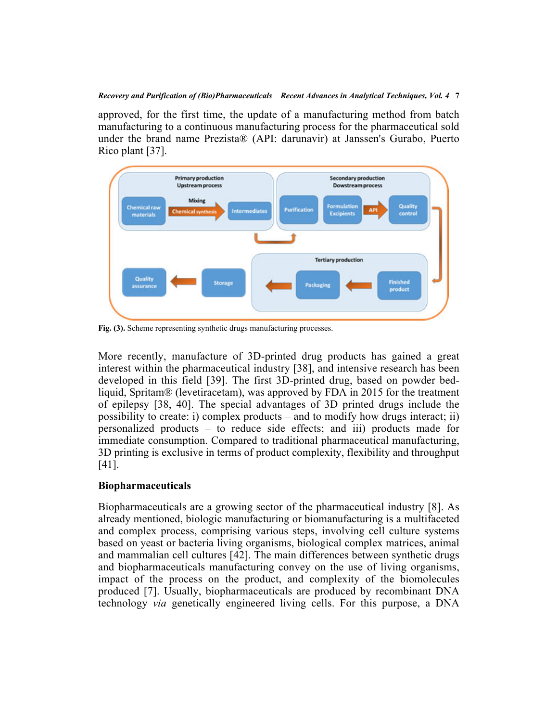approved, for the first time, the update of a manufacturing method from batch manufacturing to a continuous manufacturing process for the pharmaceutical sold under the brand name Prezista® (API: darunavir) at Janssen's Gurabo, Puerto Rico plant [\[37](#page-29-3)].

<span id="page-6-0"></span>

**Fig. (3).** Scheme representing synthetic drugs manufacturing processes.

More recently, manufacture of 3D-printed drug products has gained a great interest within the pharmaceutical industry [[38](#page-29-4)], and intensive research has been developed in this field[[39\]](#page-29-5). The first 3D-printed drug, based on powder bedliquid, Spritam® (levetiracetam), was approved by FDA in 2015 for the treatment of epilepsy[[38](#page-29-4), [40\]](#page-29-6). The special advantages of 3D printed drugs include the possibility to create: i) complex products – and to modify how drugs interact; ii) personalized products – to reduce side effects; and iii) products made for immediate consumption. Compared to traditional pharmaceutical manufacturing, 3D printing is exclusive in terms of product complexity, flexibility and throughput [[41\]](#page-29-7).

## **Biopharmaceuticals**

Biopharmaceuticals are a growing sector of the pharmaceutical industry [[8\]](#page-27-6). As already mentioned, biologic manufacturing or biomanufacturing is a multifaceted and complex process, comprising various steps, involving cell culture systems based on yeast or bacteria living organisms, biological complex matrices, animal and mammalian cell cultures [\[42](#page-29-8)]. The main differences between synthetic drugs and biopharmaceuticals manufacturing convey on the use of living organisms, impact of the process on the product, and complexity of the biomolecules produced[[7](#page-27-5)]. Usually, biopharmaceuticals are produced by recombinant DNA technology *via* genetically engineered living cells. For this purpose, a DNA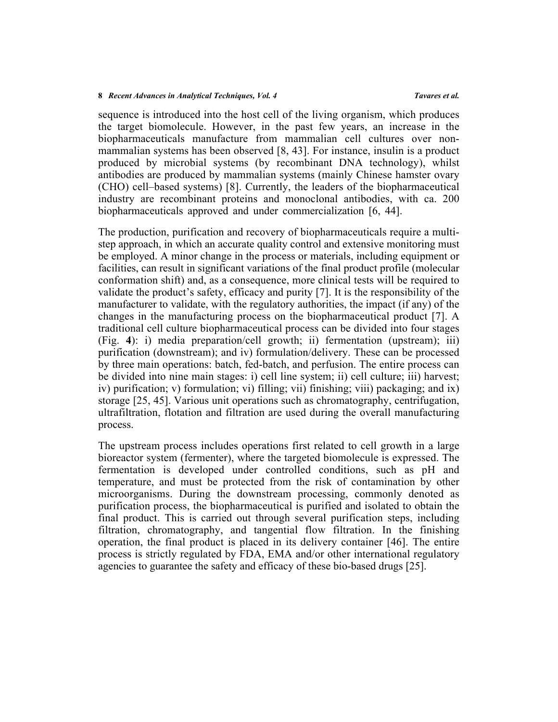sequence is introduced into the host cell of the living organism, which produces the target biomolecule. However, in the past few years, an increase in the biopharmaceuticals manufacture from mammalian cell cultures over nonmammalian systems has been observed [[8](#page-27-6), [43\]](#page-29-9). For instance, insulin is a product produced by microbial systems (by recombinant DNA technology), whilst antibodies are produced by mammalian systems (mainly Chinese hamster ovary (CHO) cell–based systems) [[8](#page-27-6)]. Currently, the leaders of the biopharmaceutical industry are recombinant proteins and monoclonal antibodies, with ca. 200 biopharmaceuticals approved and under commercialization[[6,](#page-27-4) [44\]](#page-29-10).

The production, purification and recovery of biopharmaceuticals require a multistep approach, in which an accurate quality control and extensive monitoring must be employed. A minor change in the process or materials, including equipment or facilities, can result in significant variations of the final product profile (molecular conformation shift) and, as a consequence, more clinical tests will be required to validate the product's safety, efficacy and purity [[7\]](#page-27-5). It is the responsibility of the manufacturer to validate, with the regulatory authorities, the impact (if any) of the changes in the manufacturing process on the biopharmaceutical product [[7](#page-27-5)]. A traditional cell culture biopharmaceutical process can be divided into four stages (Fig.**4**): i) media preparation/cell growth; ii) fermentation (upstream); iii) purification (downstream); and iv) formulation/delivery. These can be processed by three main operations: batch, fed-batch, and perfusion. The entire process can be divided into nine main stages: i) cell line system; ii) cell culture; iii) harvest; iv) purification; v) formulation; vi) filling; vii) finishing; viii) packaging; and ix) storage [\[25](#page-28-6), [45\]](#page-29-11). Various unit operations such as chromatography, centrifugation, ultrafiltration, flotation and filtration are used during the overall manufacturing process.

<span id="page-7-0"></span>The upstream process includes operations first related to cell growth in a large bioreactor system (fermenter), where the targeted biomolecule is expressed. The fermentation is developed under controlled conditions, such as pH and temperature, and must be protected from the risk of contamination by other microorganisms. During the downstream processing, commonly denoted as purification process, the biopharmaceutical is purified and isolated to obtain the final product. This is carried out through several purification steps, including filtration, chromatography, and tangential flow filtration. In the finishing operation, the final product is placed in its delivery container [[46](#page-29-12)]. The entire process is strictly regulated by FDA, EMA and/or other international regulatory agencies to guarantee the safety and efficacy of these bio-based drugs [\[25](#page-28-6)].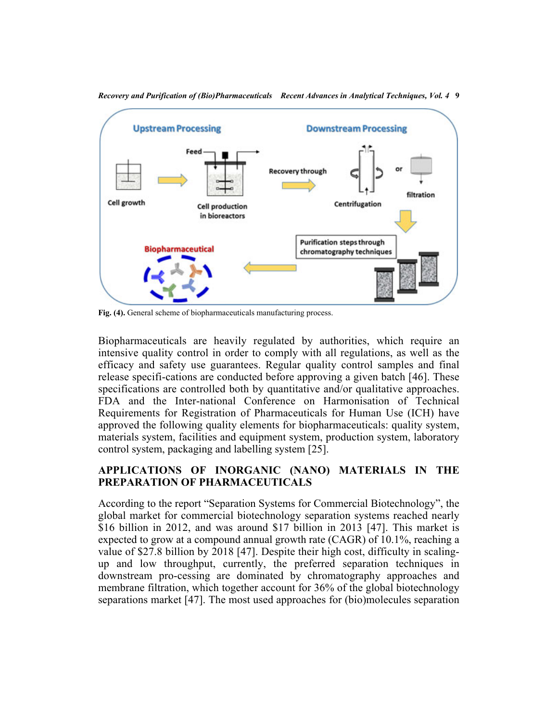

*Recovery and Purification of (Bio)Pharmaceuticals Recent Advances in Analytical Techniques, Vol. 4* **9**

**Fig. (4).** General scheme of biopharmaceuticals manufacturing process.

Biopharmaceuticals are heavily regulated by authorities, which require an intensive quality control in order to comply with all regulations, as well as the efficacy and safety use guarantees. Regular quality control samples and final release specifi-cations are conducted before approving a given batch [\[46\]](#page-29-12). These specifications are controlled both by quantitative and/or qualitative approaches. FDA and the Inter-national Conference on Harmonisation of Technical Requirements for Registration of Pharmaceuticals for Human Use (ICH) have approved the following quality elements for biopharmaceuticals: quality system, materials system, facilities and equipment system, production system, laboratory control system, packaging and labelling system [\[25](#page-28-6)].

# **APPLICATIONS OF INORGANIC (NANO) MATERIALS IN THE PREPARATION OF PHARMACEUTICALS**

According to the report "Separation Systems for Commercial Biotechnology", the global market for commercial biotechnology separation systems reached nearly \$16 billion in 2012, and was around \$17 billion in 2013[[47\]](#page-29-13). This market is expected to grow at a compound annual growth rate (CAGR) of 10.1%, reaching a value of \$27.8 billion by 2018 [[47](#page-29-13)]. Despite their high cost, difficulty in scalingup and low throughput, currently, the preferred separation techniques in downstream pro-cessing are dominated by chromatography approaches and membrane filtration, which together account for 36% of the global biotechnology separations market [\[47\]](#page-29-13). The most used approaches for (bio)molecules separation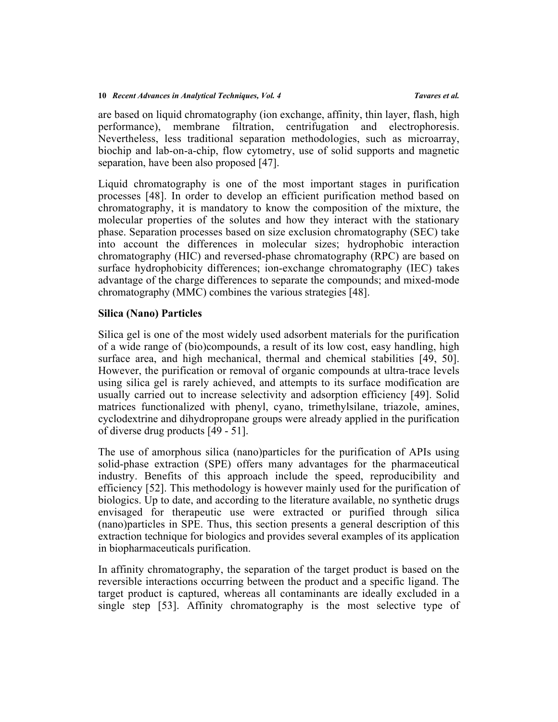are based on liquid chromatography (ion exchange, affinity, thin layer, flash, high performance), membrane filtration, centrifugation and electrophoresis. Nevertheless, less traditional separation methodologies, such as microarray, biochip and lab-on-a-chip, flow cytometry, use of solid supports and magnetic separation, have been also proposed [[47\]](#page-29-13).

Liquid chromatography is one of the most important stages in purification processes[[48\]](#page-30-0). In order to develop an efficient purification method based on chromatography, it is mandatory to know the composition of the mixture, the molecular properties of the solutes and how they interact with the stationary phase. Separation processes based on size exclusion chromatography (SEC) take into account the differences in molecular sizes; hydrophobic interaction chromatography (HIC) and reversed-phase chromatography (RPC) are based on surface hydrophobicity differences; ion-exchange chromatography (IEC) takes advantage of the charge differences to separate the compounds; and mixed-mode chromatography (MMC) combines the various strategies [\[48](#page-30-0)].

## **Silica (Nano) Particles**

Silica gel is one of the most widely used adsorbent materials for the purification of a wide range of (bio)compounds, a result of its low cost, easy handling, high surface area, and high mechanical, thermal and chemical stabilities [\[49](#page-30-1), [50](#page-30-2)]. However, the purification or removal of organic compounds at ultra-trace levels using silica gel is rarely achieved, and attempts to its surface modification are usually carried out to increase selectivity and adsorption efficiency [[49\]](#page-30-1). Solid matrices functionalized with phenyl, cyano, trimethylsilane, triazole, amines, cyclodextrine and dihydropropane groups were already applied in the purification of diverse drug products [[49](#page-30-1) - [51\]](#page-30-3).

The use of amorphous silica (nano)particles for the purification of APIs using solid-phase extraction (SPE) offers many advantages for the pharmaceutical industry. Benefits of this approach include the speed, reproducibility and efficiency [[52\]](#page-30-4). This methodology is however mainly used for the purification of biologics. Up to date, and according to the literature available, no synthetic drugs envisaged for therapeutic use were extracted or purified through silica (nano)particles in SPE. Thus, this section presents a general description of this extraction technique for biologics and provides several examples of its application in biopharmaceuticals purification.

In affinity chromatography, the separation of the target product is based on the reversible interactions occurring between the product and a specific ligand. The target product is captured, whereas all contaminants are ideally excluded in a single step[[53\]](#page-30-5). Affinity chromatography is the most selective type of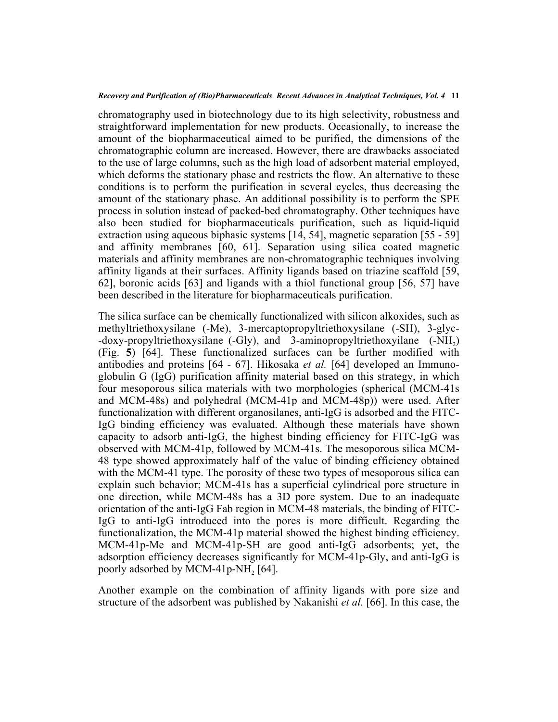chromatography used in biotechnology due to its high selectivity, robustness and straightforward implementation for new products. Occasionally, to increase the amount of the biopharmaceutical aimed to be purified, the dimensions of the chromatographic column are increased. However, there are drawbacks associated to the use of large columns, such as the high load of adsorbent material employed, which deforms the stationary phase and restricts the flow. An alternative to these conditions is to perform the purification in several cycles, thus decreasing the amount of the stationary phase. An additional possibility is to perform the SPE process in solution instead of packed-bed chromatography. Other techniques have also been studied for biopharmaceuticals purification, such as liquid-liquid extraction using aqueous biphasic systems [[14,](#page-27-12) [54\]](#page-30-6), magnetic separation [[55](#page-30-7) - [59](#page-30-8)] and affinity membranes[[60](#page-30-9), [61\]](#page-30-10). Separation using silica coated magnetic materials and affinity membranes are non-chromatographic techniques involving affinity ligands at their surfaces. Affinity ligands based on triazine scaffold [[59](#page-30-8), [62\]](#page-31-0), boronic acids [\[63\]](#page-31-1) and ligands with a thiol functional group [\[56,](#page-30-11) [57](#page-30-12)] have been described in the literature for biopharmaceuticals purification.

The silica surface can be chemically functionalized with silicon alkoxides, such as methyltriethoxysilane (-Me), 3-mercaptopropyltriethoxysilane (-SH), 3-glyc- -doxy-propyltriethoxysilane (-Gly), and 3-aminopropyltriethoxyilane  $(-NH<sub>2</sub>)$ (Fig.**5**)[[64](#page-31-2)]. These functionalized surfaces can be further modified with antibodies and proteins [[64](#page-31-2) - [67](#page-31-3)]. Hikosaka *et al.* [\[64\]](#page-31-2) developed an Immunoglobulin G (IgG) purification affinity material based on this strategy, in which four mesoporous silica materials with two morphologies (spherical (MCM-41s and MCM-48s) and polyhedral (MCM-41p and MCM-48p)) were used. After functionalization with different organosilanes, anti-IgG is adsorbed and the FITC-IgG binding efficiency was evaluated. Although these materials have shown capacity to adsorb anti-IgG, the highest binding efficiency for FITC-IgG was observed with MCM-41p, followed by MCM-41s. The mesoporous silica MCM-48 type showed approximately half of the value of binding efficiency obtained with the MCM-41 type. The porosity of these two types of mesoporous silica can explain such behavior; MCM-41s has a superficial cylindrical pore structure in one direction, while MCM-48s has a 3D pore system. Due to an inadequate orientation of the anti-IgG Fab region in MCM-48 materials, the binding of FITC-IgG to anti-IgG introduced into the pores is more difficult. Regarding the functionalization, the MCM-41p material showed the highest binding efficiency. MCM-41p-Me and MCM-41p-SH are good anti-IgG adsorbents; yet, the adsorption efficiency decreases significantly for MCM-41p-Gly, and anti-IgG is poorly adsorbed by MCM-41p-NH<sub>2</sub> [\[64](#page-31-2)].

Another example on the combination of affinity ligands with pore size and structure of the adsorbent was published by Nakanishi *et al.* [\[66](#page-31-4)]. In this case, the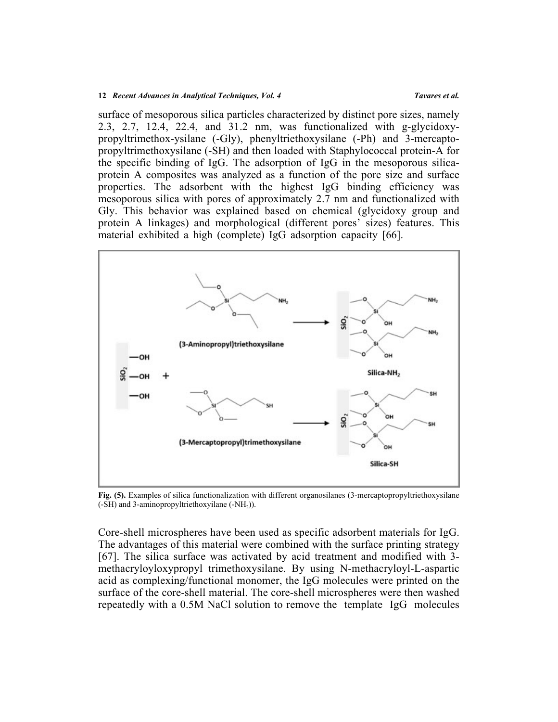surface of mesoporous silica particles characterized by distinct pore sizes, namely 2.3, 2.7, 12.4, 22.4, and 31.2 nm, was functionalized with g-glycidoxypropyltrimethox-ysilane (-Gly), phenyltriethoxysilane (-Ph) and 3-mercaptopropyltrimethoxysilane (-SH) and then loaded with Staphylococcal protein-A for the specific binding of IgG. The adsorption of IgG in the mesoporous silicaprotein A composites was analyzed as a function of the pore size and surface properties. The adsorbent with the highest IgG binding efficiency was mesoporous silica with pores of approximately 2.7 nm and functionalized with Gly. This behavior was explained based on chemical (glycidoxy group and protein A linkages) and morphological (different pores' sizes) features. This material exhibited a high (complete) IgG adsorption capacity[[66\]](#page-31-4).

<span id="page-11-0"></span>

**Fig. (5).** Examples of silica functionalization with different organosilanes (3-mercaptopropyltriethoxysilane (-SH) and 3-aminopropyltriethoxyilane (-NH<sub>2</sub>)).

Core-shell microspheres have been used as specific adsorbent materials for IgG. The advantages of this material were combined with the surface printing strategy [[67](#page-31-3)]. The silica surface was activated by acid treatment and modified with 3 methacryloyloxypropyl trimethoxysilane. By using N-methacryloyl-L-aspartic acid as complexing/functional monomer, the IgG molecules were printed on the surface of the core-shell material. The core-shell microspheres were then washed repeatedly with a 0.5M NaCl solution to remove the template IgG molecules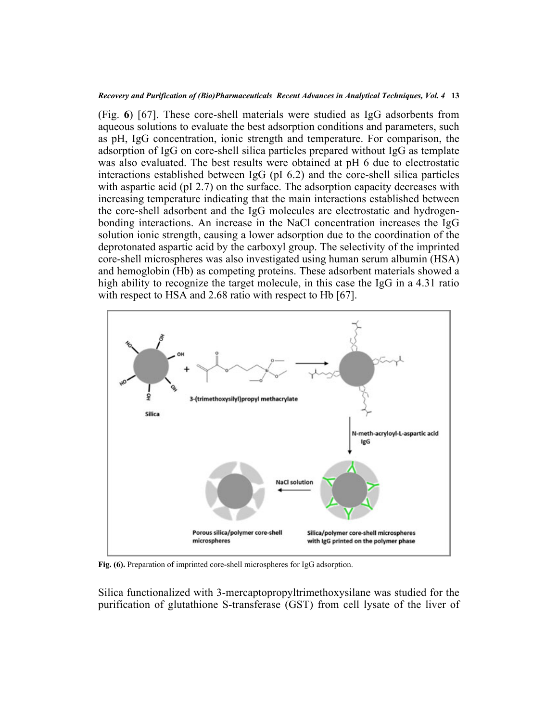(Fig.**6**) [\[67](#page-31-3)]. These core-shell materials were studied as IgG adsorbents from aqueous solutions to evaluate the best adsorption conditions and parameters, such as pH, IgG concentration, ionic strength and temperature. For comparison, the adsorption of IgG on core-shell silica particles prepared without IgG as template was also evaluated. The best results were obtained at pH 6 due to electrostatic interactions established between IgG (pI 6.2) and the core-shell silica particles with aspartic acid (pI 2.7) on the surface. The adsorption capacity decreases with increasing temperature indicating that the main interactions established between the core-shell adsorbent and the IgG molecules are electrostatic and hydrogenbonding interactions. An increase in the NaCl concentration increases the IgG solution ionic strength, causing a lower adsorption due to the coordination of the deprotonated aspartic acid by the carboxyl group. The selectivity of the imprinted core-shell microspheres was also investigated using human serum albumin (HSA) and hemoglobin (Hb) as competing proteins. These adsorbent materials showed a high ability to recognize the target molecule, in this case the IgG in a 4.31 ratio with respect to HSA and 2.68 ratio with respect to Hb [\[67](#page-31-3)].

<span id="page-12-0"></span>

**Fig. (6).** Preparation of imprinted core-shell microspheres for IgG adsorption.

Silica functionalized with 3-mercaptopropyltrimethoxysilane was studied for the purification of glutathione S-transferase (GST) from cell lysate of the liver of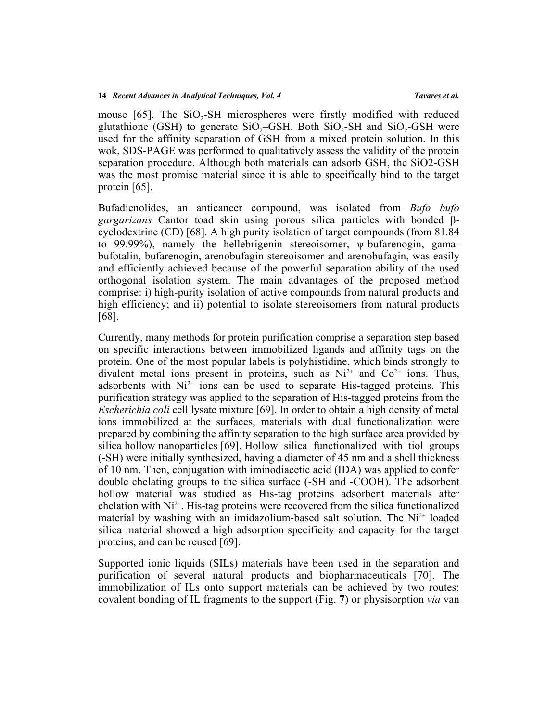mouse[[65](#page-31-5)]. The  $SiO<sub>2</sub>$ -SH microspheres were firstly modified with reduced glutathione (GSH) to generate  $SiO_2$ -GSH. Both  $SiO_2$ -SH and  $SiO_2$ -GSH were used for the affinity separation of GSH from a mixed protein solution. In this wok, SDS-PAGE was performed to qualitatively assess the validity of the protein separation procedure. Although both materials can adsorb GSH, the SiO2-GSH was the most promise material since it is able to specifically bind to the target protein [[65\]](#page-31-5).

Bufadienolides, an anticancer compound, was isolated from *Bufo bufo gargarizans* Cantor toad skin using porous silica particles with bonded βcyclodextrine (CD) [[68\]](#page-31-6). A high purity isolation of target compounds (from 81.84 to 99.99%), namely the hellebrigenin stereoisomer, ψ-bufarenogin, gamabufotalin, bufarenogin, arenobufagin stereoisomer and arenobufagin, was easily and efficiently achieved because of the powerful separation ability of the used orthogonal isolation system. The main advantages of the proposed method comprise: i) high-purity isolation of active compounds from natural products and high efficiency; and ii) potential to isolate stereoisomers from natural products [[68\]](#page-31-6).

Currently, many methods for protein purification comprise a separation step based on specific interactions between immobilized ligands and affinity tags on the protein. One of the most popular labels is polyhistidine, which binds strongly to divalent metal ions present in proteins, such as  $Ni^{2+}$  and  $Co^{2+}$  ions. Thus, adsorbents with  $Ni<sup>2+</sup>$  ions can be used to separate His-tagged proteins. This purification strategy was applied to the separation of His-tagged proteins from the *Escherichia coli* cell lysate mixture [\[69](#page-31-7)]. In order to obtain a high density of metal ions immobilized at the surfaces, materials with dual functionalization were prepared by combining the affinity separation to the high surface area provided by silica hollow nanoparticles [\[69](#page-31-7)]. Hollow silica functionalized with tiol groups (-SH) were initially synthesized, having a diameter of 45 nm and a shell thickness of 10 nm. Then, conjugation with iminodiacetic acid (IDA) was applied to confer double chelating groups to the silica surface (-SH and -COOH). The adsorbent hollow material was studied as His-tag proteins adsorbent materials after chelation with  $Ni<sup>2+</sup>$ . His-tag proteins were recovered from the silica functionalized material by washing with an imidazolium-based salt solution. The  $Ni<sup>2+</sup>$  loaded silica material showed a high adsorption specificity and capacity for the target proteins, and can be reused [\[69](#page-31-7)].

Supported ionic liquids (SILs) materials have been used in the separation and purification of several natural products and biopharmaceuticals[[70](#page-31-8)]. The immobilization of ILs onto support materials can be achieved by two routes: covalent bonding of IL fragments to the support (Fig. **[7](#page-14-0)**) or physisorption *via* van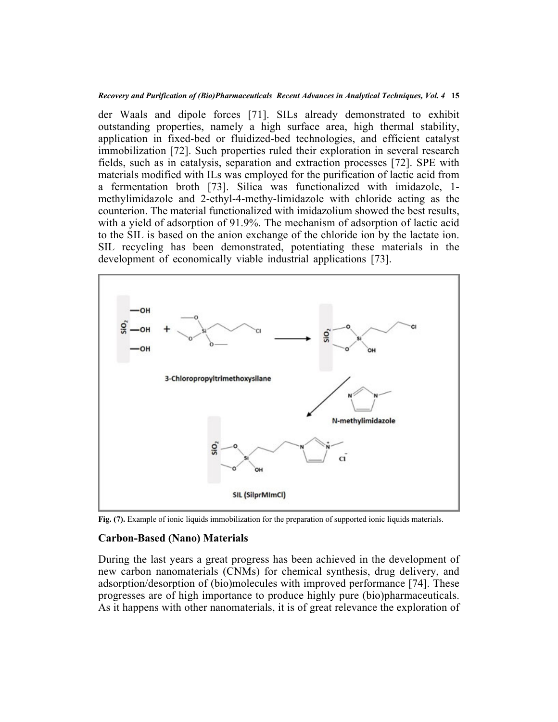*Recovery and Purification of (Bio)Pharmaceuticals Recent Advances in Analytical Techniques, Vol. 4* **15**

der Waals and dipole forces [\[71](#page-31-9)]. SILs already demonstrated to exhibit outstanding properties, namely a high surface area, high thermal stability, application in fixed-bed or fluidized-bed technologies, and efficient catalyst immobilization [[72\]](#page-31-10). Such properties ruled their exploration in several research fields, such as in catalysis, separation and extraction processes [\[72\]](#page-31-10). SPE with materials modified with ILs was employed for the purification of lactic acid from a fermentation broth[[73](#page-31-11)]. Silica was functionalized with imidazole, 1 methylimidazole and 2-ethyl-4-methy-limidazole with chloride acting as the counterion. The material functionalized with imidazolium showed the best results, with a yield of adsorption of 91.9%. The mechanism of adsorption of lactic acid to the SIL is based on the anion exchange of the chloride ion by the lactate ion. SIL recycling has been demonstrated, potentiating these materials in the development of economically viable industrial applications[[73](#page-31-11)].

<span id="page-14-0"></span>

**Fig. (7).** Example of ionic liquids immobilization for the preparation of supported ionic liquids materials.

## **Carbon-Based (Nano) Materials**

During the last years a great progress has been achieved in the development of new carbon nanomaterials (CNMs) for chemical synthesis, drug delivery, and adsorption/desorption of (bio)molecules with improved performance [\[74\]](#page-31-12). These progresses are of high importance to produce highly pure (bio)pharmaceuticals. As it happens with other nanomaterials, it is of great relevance the exploration of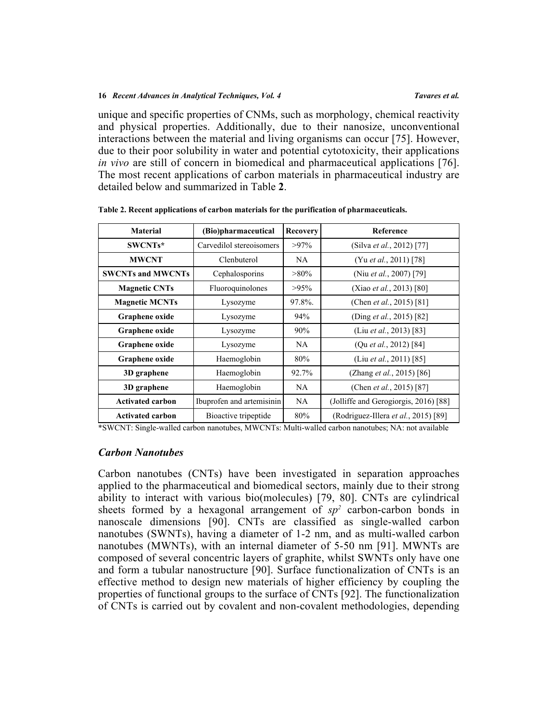unique and specific properties of CNMs, such as morphology, chemical reactivity and physical properties. Additionally, due to their nanosize, unconventional interactions between the material and living organisms can occur [[75](#page-31-13)]. However, due to their poor solubility in water and potential cytotoxicity, their applications *in vivo* are still of concern in biomedical and pharmaceutical applications [[76](#page-31-14)]. The most recent applications of carbon materials in pharmaceutical industry are detailed below and summarized in Table **[2](#page-15-0)**.

| <b>Material</b>          | (Bio)pharmaceutical       | Recovery  | Reference                             |  |
|--------------------------|---------------------------|-----------|---------------------------------------|--|
| SWCNTs*                  | Carvedilol stereoisomers  | $>97\%$   | (Silva et al., 2012) [77]             |  |
| <b>MWCNT</b>             | Clenbuterol               | NA.       | (Yu et al., 2011) [78]                |  |
| <b>SWCNTs and MWCNTs</b> | Cephalosporins            | $>80\%$   | (Niu et al., 2007) [79]               |  |
| <b>Magnetic CNTs</b>     | Fluoroquinolones          | $>95\%$   | (Xiao et al., 2013) [80]              |  |
| <b>Magnetic MCNTs</b>    | Lysozyme                  | 97.8%.    | (Chen <i>et al.</i> , 2015) [81]      |  |
| Graphene oxide           | Lysozyme                  | 94%       | (Ding <i>et al.</i> , 2015) [82]      |  |
| Graphene oxide           | Lysozyme                  | 90%       | (Liu et al., 2013) [83]               |  |
| Graphene oxide           | Lysozyme                  | NA        | (Qu <i>et al.</i> , 2012) [84]        |  |
| Graphene oxide           | Haemoglobin               | 80%       | (Liu <i>et al.</i> , 2011) [85]       |  |
| 3D graphene              | Haemoglobin               | 92.7%     | (Zhang <i>et al.</i> , 2015) [86]     |  |
| 3D graphene              | Haemoglobin               | <b>NA</b> | (Chen <i>et al.</i> , 2015) [87]      |  |
| <b>Activated carbon</b>  | Ibuprofen and artemisinin | NA        | (Jolliffe and Gerogiorgis, 2016) [88] |  |
| <b>Activated carbon</b>  | Bioactive tripeptide      | 80%       | (Rodriguez-Illera et al., 2015) [89]  |  |

<span id="page-15-0"></span>**Table 2. Recent applications of carbon materials for the purification of pharmaceuticals.**

\*SWCNT: Single-walled carbon nanotubes, MWCNTs: Multi-walled carbon nanotubes; NA: not available

## *Carbon Nanotubes*

Carbon nanotubes (CNTs) have been investigated in separation approaches applied to the pharmaceutical and biomedical sectors, mainly due to their strong ability to interact with various bio(molecules) [\[79](#page-32-2), [80\]](#page-32-3). CNTs are cylindrical sheets formed by a hexagonal arrangement of  $sp^2$  carbon-carbon bonds in nanoscale dimensions[[90](#page-33-0)]. CNTs are classified as single-walled carbon nanotubes (SWNTs), having a diameter of 1-2 nm, and as multi-walled carbon nanotubes (MWNTs), with an internal diameter of 5-50 nm [[91](#page-33-1)]. MWNTs are composed of several concentric layers of graphite, whilst SWNTs only have one and form a tubular nanostructure [[90\]](#page-33-0). Surface functionalization of CNTs is an effective method to design new materials of higher efficiency by coupling the properties of functional groups to the surface of CNTs [\[92](#page-33-2)]. The functionalization of CNTs is carried out by covalent and non-covalent methodologies, depending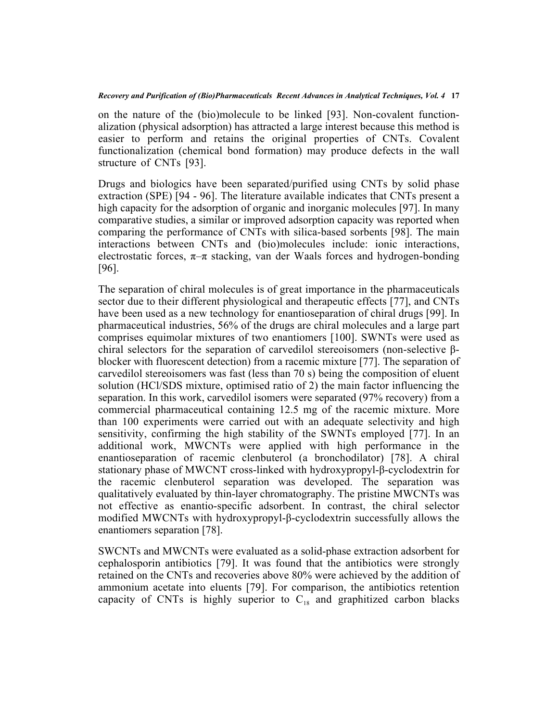on the nature of the (bio)molecule to be linked[[93](#page-33-3)]. Non-covalent functionalization (physical adsorption) has attracted a large interest because this method is easier to perform and retains the original properties of CNTs. Covalent functionalization (chemical bond formation) may produce defects in the wall structure of CNTs [\[93](#page-33-3)].

Drugs and biologics have been separated/purified using CNTs by solid phase extraction (SPE) [\[94](#page-33-4) - [96\]](#page-33-5). The literature available indicates that CNTs present a high capacity for the adsorption of organic and inorganic molecules [\[97](#page-33-6)]. In many comparative studies, a similar or improved adsorption capacity was reported when comparing the performance of CNTs with silica-based sorbents [\[98\]](#page-33-7). The main interactions between CNTs and (bio)molecules include: ionic interactions, electrostatic forces,  $\pi-\pi$  stacking, van der Waals forces and hydrogen-bonding [[96\]](#page-33-5).

The separation of chiral molecules is of great importance in the pharmaceuticals sector due to their different physiological and therapeutic effects [[77](#page-32-0)], and CNTs have been used as a new technology for enantioseparation of chiral drugs [[99\]](#page-33-8). In pharmaceutical industries, 56% of the drugs are chiral molecules and a large part comprises equimolar mixtures of two enantiomers [[100](#page-33-9)]. SWNTs were used as chiral selectors for the separation of carvedilol stereoisomers (non-selective βblocker with fluorescent detection) from a racemic mixture [\[77](#page-32-0)]. The separation of carvedilol stereoisomers was fast (less than 70 s) being the composition of eluent solution (HCl/SDS mixture, optimised ratio of 2) the main factor influencing the separation. In this work, carvedilol isomers were separated (97% recovery) from a commercial pharmaceutical containing 12.5 mg of the racemic mixture. More than 100 experiments were carried out with an adequate selectivity and high sensitivity, confirming the high stability of the SWNTs employed [\[77](#page-32-0)]. In an additional work, MWCNTs were applied with high performance in the enantioseparation of racemic clenbuterol (a bronchodilator) [\[78](#page-32-1)]. A chiral stationary phase of MWCNT cross-linked with hydroxypropyl-β-cyclodextrin for the racemic clenbuterol separation was developed. The separation was qualitatively evaluated by thin-layer chromatography. The pristine MWCNTs was not effective as enantio-specific adsorbent. In contrast, the chiral selector modified MWCNTs with hydroxypropyl-β-cyclodextrin successfully allows the enantiomers separation [[78\]](#page-32-1).

SWCNTs and MWCNTs were evaluated as a solid-phase extraction adsorbent for cephalosporin antibiotics[[79\]](#page-32-2). It was found that the antibiotics were strongly retained on the CNTs and recoveries above 80% were achieved by the addition of ammonium acetate into eluents [\[79](#page-32-2)]. For comparison, the antibiotics retention capacity of CNTs is highly superior to  $C_{18}$  and graphitized carbon blacks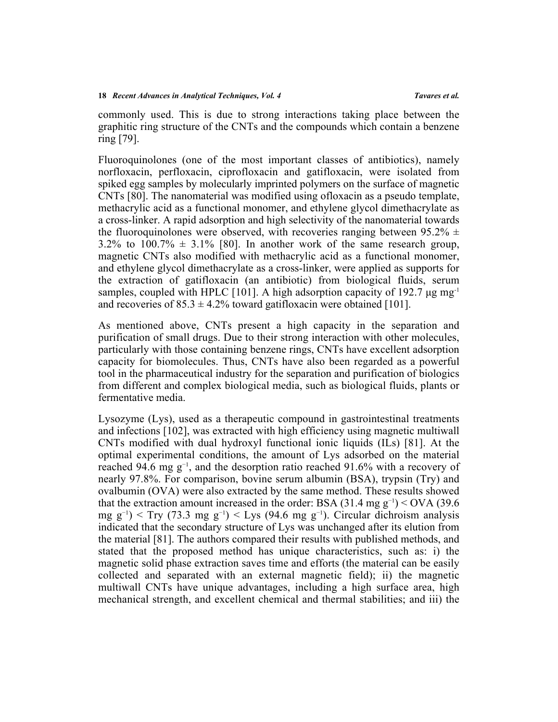commonly used. This is due to strong interactions taking place between the graphitic ring structure of the CNTs and the compounds which contain a benzene ring [\[79](#page-32-2)].

Fluoroquinolones (one of the most important classes of antibiotics), namely norfloxacin, perfloxacin, ciprofloxacin and gatifloxacin, were isolated from spiked egg samples by molecularly imprinted polymers on the surface of magnetic CNTs [[80\]](#page-32-3). The nanomaterial was modified using ofloxacin as a pseudo template, methacrylic acid as a functional monomer, and ethylene glycol dimethacrylate as a cross-linker. A rapid adsorption and high selectivity of the nanomaterial towards the fluoroquinolones were observed, with recoveries ranging between 95.2%  $\pm$ 3.2%to 100.7%  $\pm$  3.1% [[80](#page-32-3)]. In another work of the same research group, magnetic CNTs also modified with methacrylic acid as a functional monomer, and ethylene glycol dimethacrylate as a cross-linker, were applied as supports for the extraction of gatifloxacin (an antibiotic) from biological fluids, serum samples, coupled with HPLC [[101\]](#page-33-10). A high adsorption capacity of 192.7  $\mu$ g mg<sup>-1</sup> and recoveries of  $85.3 \pm 4.2\%$  toward gatifloxacin were obtained [\[101](#page-33-10)].

As mentioned above, CNTs present a high capacity in the separation and purification of small drugs. Due to their strong interaction with other molecules, particularly with those containing benzene rings, CNTs have excellent adsorption capacity for biomolecules. Thus, CNTs have also been regarded as a powerful tool in the pharmaceutical industry for the separation and purification of biologics from different and complex biological media, such as biological fluids, plants or fermentative media.

Lysozyme (Lys), used as a therapeutic compound in gastrointestinal treatments and infections [\[102](#page-33-11)], was extracted with high efficiency using magnetic multiwall CNTs modified with dual hydroxyl functional ionic liquids (ILs)[[81](#page-32-4)]. At the optimal experimental conditions, the amount of Lys adsorbed on the material reached 94.6 mg g−1, and the desorption ratio reached 91.6% with a recovery of nearly 97.8%. For comparison, bovine serum albumin (BSA), trypsin (Try) and ovalbumin (OVA) were also extracted by the same method. These results showed that the extraction amount increased in the order: BSA (31.4 mg g<sup>-1</sup>) < OVA (39.6) mg g<sup>-1</sup>) < Try (73.3 mg g<sup>-1</sup>) < Lys (94.6 mg g<sup>-1</sup>). Circular dichroism analysis indicated that the secondary structure of Lys was unchanged after its elution from the material [\[81](#page-32-4)]. The authors compared their results with published methods, and stated that the proposed method has unique characteristics, such as: i) the magnetic solid phase extraction saves time and efforts (the material can be easily collected and separated with an external magnetic field); ii) the magnetic multiwall CNTs have unique advantages, including a high surface area, high mechanical strength, and excellent chemical and thermal stabilities; and iii) the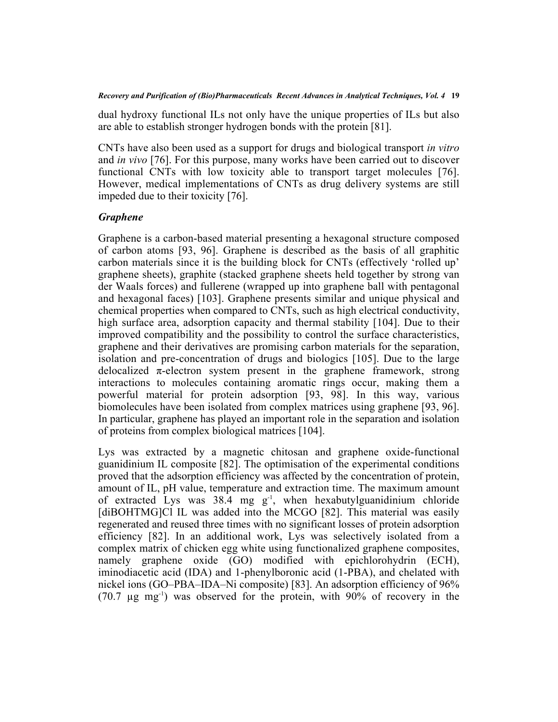dual hydroxy functional ILs not only have the unique properties of ILs but also are able to establish stronger hydrogen bonds with the protein [\[81](#page-32-4)].

CNTs have also been used as a support for drugs and biological transport *in vitro* and *in vivo* [\[76](#page-31-14)]. For this purpose, many works have been carried out to discover functional CNTs with low toxicity able to transport target molecules[[76](#page-31-14)]. However, medical implementations of CNTs as drug delivery systems are still impeded due to their toxicity [\[76](#page-31-14)].

## *Graphene*

Graphene is a carbon-based material presenting a hexagonal structure composed of carbon atoms[[93](#page-33-3), [96\]](#page-33-5). Graphene is described as the basis of all graphitic carbon materials since it is the building block for CNTs (effectively 'rolled up' graphene sheets), graphite (stacked graphene sheets held together by strong van der Waals forces) and fullerene (wrapped up into graphene ball with pentagonal and hexagonal faces) [[103\]](#page-33-12). Graphene presents similar and unique physical and chemical properties when compared to CNTs, such as high electrical conductivity, high surface area, adsorption capacity and thermal stability [[104\]](#page-33-13). Due to their improved compatibility and the possibility to control the surface characteristics, graphene and their derivatives are promising carbon materials for the separation, isolation and pre-concentration of drugs and biologics[[105](#page-34-0)]. Due to the large delocalized  $\pi$ -electron system present in the graphene framework, strong interactions to molecules containing aromatic rings occur, making them a powerful material for protein adsorption[[93,](#page-33-3) [98\]](#page-33-7). In this way, various biomolecules have been isolated from complex matrices using graphene [[93,](#page-33-3) [96](#page-33-5)]. In particular, graphene has played an important role in the separation and isolation of proteins from complex biological matrices [[104\]](#page-33-13).

Lys was extracted by a magnetic chitosan and graphene oxide-functional guanidinium IL composite [\[82](#page-32-5)]. The optimisation of the experimental conditions proved that the adsorption efficiency was affected by the concentration of protein, amount of IL, pH value, temperature and extraction time. The maximum amount of extracted Lys was 38.4 mg g<sup>-1</sup>, when hexabutylguanidinium chloride [diBOHTMG]ClIL was added into the MCGO [[82\]](#page-32-5). This material was easily regenerated and reused three times with no significant losses of protein adsorption efficiency[[82](#page-32-5)]. In an additional work, Lys was selectively isolated from a complex matrix of chicken egg white using functionalized graphene composites, namely graphene oxide (GO) modified with epichlorohydrin (ECH), iminodiacetic acid (IDA) and 1-phenylboronic acid (1-PBA), and chelated with nickel ions (GO–PBA–IDA–Ni composite) [[83\]](#page-32-6). An adsorption efficiency of 96% (70.7 µg mg-1) was observed for the protein, with 90% of recovery in the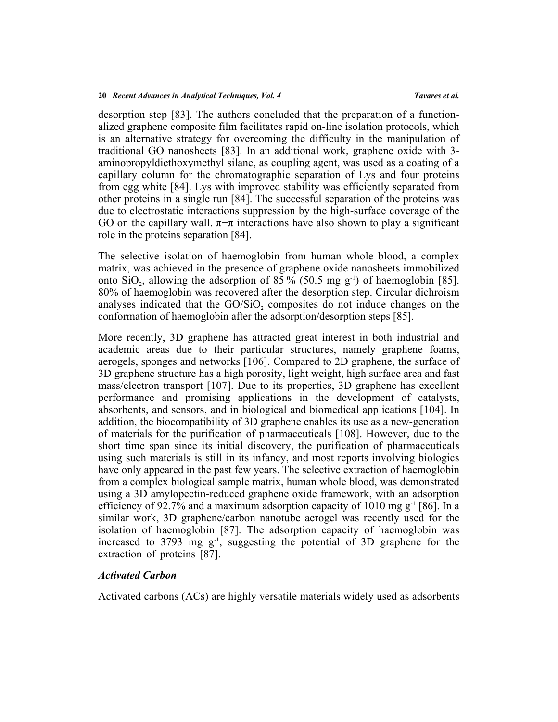desorption step [[83\]](#page-32-6). The authors concluded that the preparation of a functionalized graphene composite film facilitates rapid on-line isolation protocols, which is an alternative strategy for overcoming the difficulty in the manipulation of traditional GO nanosheets [[83\]](#page-32-6). In an additional work, graphene oxide with 3 aminopropyldiethoxymethyl silane, as coupling agent, was used as a coating of a capillary column for the chromatographic separation of Lys and four proteins from egg white [[84](#page-32-7)]. Lys with improved stability was efficiently separated from other proteins in a single run [[84\]](#page-32-7). The successful separation of the proteins was due to electrostatic interactions suppression by the high-surface coverage of the GO on the capillary wall.  $\pi-\pi$  interactions have also shown to play a significant role in the proteins separation [\[84](#page-32-7)].

The selective isolation of haemoglobin from human whole blood, a complex matrix, was achieved in the presence of graphene oxide nanosheets immobilized onto SiO<sub>2</sub>, allowing the adsorption of [85](#page-32-8) % (50.5 mg  $g^{-1}$ ) of haemoglobin [85]. 80% of haemoglobin was recovered after the desorption step. Circular dichroism analyses indicated that the  $GO/SiO<sub>2</sub>$  composites do not induce changes on the conformation of haemoglobin after the adsorption/desorption steps [\[85](#page-32-8)].

More recently, 3D graphene has attracted great interest in both industrial and academic areas due to their particular structures, namely graphene foams, aerogels, sponges and networks [\[106\]](#page-34-1). Compared to 2D graphene, the surface of 3D graphene structure has a high porosity, light weight, high surface area and fast mass/electron transport [\[107](#page-34-2)]. Due to its properties, 3D graphene has excellent performance and promising applications in the development of catalysts, absorbents, and sensors, and in biological and biomedical applications [[104](#page-33-13)]. In addition, the biocompatibility of 3D graphene enables its use as a new-generation of materials for the purification of pharmaceuticals [\[108\]](#page-34-3). However, due to the short time span since its initial discovery, the purification of pharmaceuticals using such materials is still in its infancy, and most reports involving biologics have only appeared in the past few years. The selective extraction of haemoglobin from a complex biological sample matrix, human whole blood, was demonstrated using a 3D amylopectin-reduced graphene oxide framework, with an adsorption efficiency of 92.7% and a maximum adsorption capacity of 1010 mg  $g^{-1}$  [\[86\]](#page-32-9). In a similar work, 3D graphene/carbon nanotube aerogel was recently used for the isolation of haemoglobin[[87\]](#page-32-10). The adsorption capacity of haemoglobin was increased to  $3793$  mg  $g^{-1}$ , suggesting the potential of  $3D$  graphene for the extraction of proteins [\[87](#page-32-10)].

## *Activated Carbon*

Activated carbons (ACs) are highly versatile materials widely used as adsorbents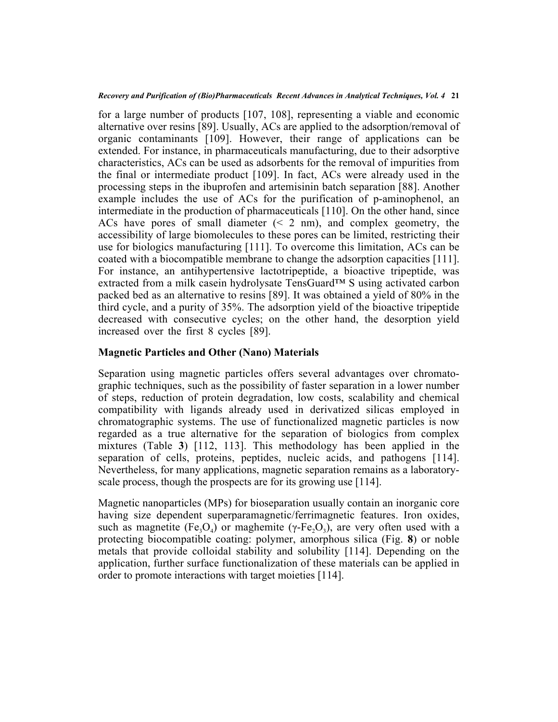for a large number of products [[107](#page-34-2), [108](#page-34-3)], representing a viable and economic alternative over resins [\[89](#page-32-12)]. Usually, ACs are applied to the adsorption/removal of organic contaminants [\[109\]](#page-34-4). However, their range of applications can be extended. For instance, in pharmaceuticals manufacturing, due to their adsorptive characteristics, ACs can be used as adsorbents for the removal of impurities from the final or intermediate product [\[109\]](#page-34-4). In fact, ACs were already used in the processing steps in the ibuprofen and artemisinin batch separation [\[88\]](#page-32-11). Another example includes the use of ACs for the purification of p-aminophenol, an intermediate in the production of pharmaceuticals [\[110](#page-34-5)]. On the other hand, since ACs have pores of small diameter (< 2 nm), and complex geometry, the accessibility of large biomolecules to these pores can be limited, restricting their use for biologics manufacturing [\[111](#page-34-6)]. To overcome this limitation, ACs can be coated with a biocompatible membrane to change the adsorption capacities [\[111](#page-34-6)]. For instance, an antihypertensive lactotripeptide, a bioactive tripeptide, was extracted from a milk casein hydrolysate TensGuard™ S using activated carbon packed bed as an alternative to resins [[89](#page-32-12)]. It was obtained a yield of 80% in the third cycle, and a purity of 35%. The adsorption yield of the bioactive tripeptide decreased with consecutive cycles; on the other hand, the desorption yield increased over the first 8 cycles [\[89](#page-32-12)].

## **Magnetic Particles and Other (Nano) Materials**

Separation using magnetic particles offers several advantages over chromatographic techniques, such as the possibility of faster separation in a lower number of steps, reduction of protein degradation, low costs, scalability and chemical compatibility with ligands already used in derivatized silicas employed in chromatographic systems. The use of functionalized magnetic particles is now regarded as a true alternative for the separation of biologics from complex mixtures (Table**3**)[[112](#page-34-7), [113\]](#page-34-8). This methodology has been applied in the separation of cells, proteins, peptides, nucleic acids, and pathogens[[114](#page-34-9)]. Nevertheless, for many applications, magnetic separation remains as a laboratoryscale process, though the prospects are for its growing use [[114\]](#page-34-9).

<span id="page-20-0"></span>Magnetic nanoparticles (MPs) for bioseparation usually contain an inorganic core having size dependent superparamagnetic/ferrimagnetic features. Iron oxides, such as magnetite (Fe<sub>3</sub>O<sub>4</sub>) or maghemite ( $\gamma$ -Fe<sub>2</sub>O<sub>3</sub>), are very often used with a protecting biocompatible coating: polymer, amorphous silica (Fig.**8**) or noble metals that provide colloidal stability and solubility[[114\]](#page-34-9). Depending on the application, further surface functionalization of these materials can be applied in order to promote interactions with target moieties [[114\]](#page-34-9).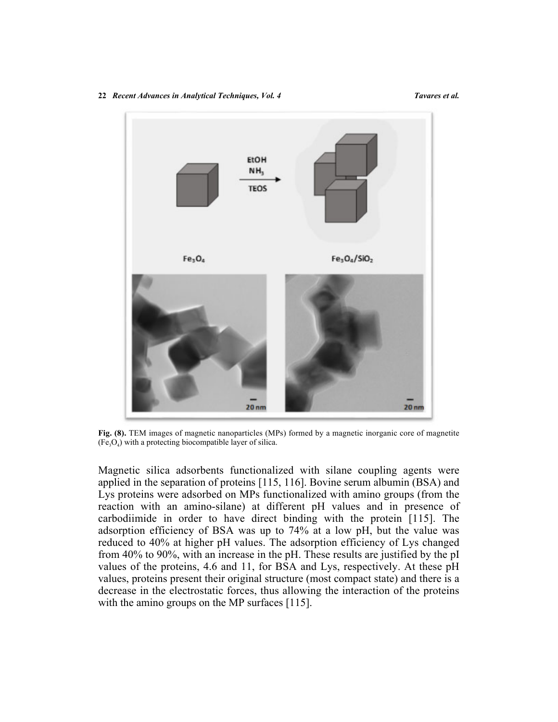# **EtOH** NH<sub>3</sub> **TEOS**  $Fe<sub>3</sub>O<sub>4</sub>$  $Fe<sub>3</sub>O<sub>4</sub>/SiO<sub>2</sub>$  $20<sub>nm</sub>$  $20<sub>nm</sub>$

**Fig. (8).** TEM images of magnetic nanoparticles (MPs) formed by a magnetic inorganic core of magnetite  $(Fe<sub>3</sub>O<sub>4</sub>)$  with a protecting biocompatible layer of silica.

Magnetic silica adsorbents functionalized with silane coupling agents were applied in the separation of proteins [[115,](#page-34-10) [116\]](#page-34-11). Bovine serum albumin (BSA) and Lys proteins were adsorbed on MPs functionalized with amino groups (from the reaction with an amino-silane) at different pH values and in presence of carbodiimide in order to have direct binding with the protein[[115](#page-34-10)]. The adsorption efficiency of BSA was up to 74% at a low pH, but the value was reduced to 40% at higher pH values. The adsorption efficiency of Lys changed from 40% to 90%, with an increase in the pH. These results are justified by the pI values of the proteins, 4.6 and 11, for BSA and Lys, respectively. At these pH values, proteins present their original structure (most compact state) and there is a decrease in the electrostatic forces, thus allowing the interaction of the proteins with the amino groups on the MP surfaces [[115\]](#page-34-10).

#### **22** *Recent Advances in Analytical Techniques, Vol. 4 Tavares et al.*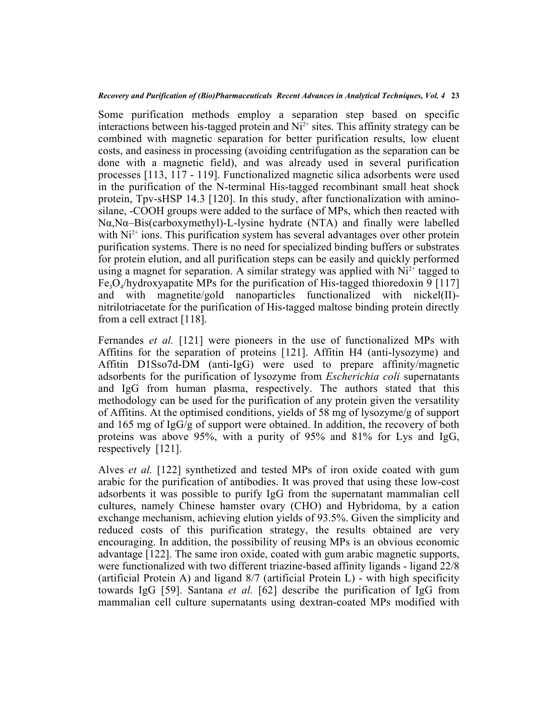Some purification methods employ a separation step based on specific interactions between his-tagged protein and  $Ni<sup>2+</sup>$  sites. This affinity strategy can be combined with magnetic separation for better purification results, low eluent costs, and easiness in processing (avoiding centrifugation as the separation can be done with a magnetic field), and was already used in several purification processes [\[113](#page-34-8), [117](#page-34-12) - [119\]](#page-34-13). Functionalized magnetic silica adsorbents were used in the purification of the N-terminal His-tagged recombinant small heat shock protein, Tpv-sHSP 14.3 [[120](#page-34-14)]. In this study, after functionalization with aminosilane, -COOH groups were added to the surface of MPs, which then reacted with Nα,Nα–Bis(carboxymethyl)-L-lysine hydrate (NTA) and finally were labelled with  $Ni<sup>2+</sup>$  ions. This purification system has several advantages over other protein purification systems. There is no need for specialized binding buffers or substrates for protein elution, and all purification steps can be easily and quickly performed using a magnet for separation. A similar strategy was applied with  $Ni<sup>2+</sup>$  tagged to  $Fe<sub>3</sub>O<sub>4</sub>/$ hydroxyapatite MPs for the purification of His-tagged thioredoxin 9 [[117](#page-34-12)] and with magnetite/gold nanoparticles functionalized with nickel(II) nitrilotriacetate for the purification of His-tagged maltose binding protein directly from a cell extract [\[118](#page-34-15)].

Fernandes *et al.* [[121\]](#page-35-0) were pioneers in the use of functionalized MPs with Affitins for the separation of proteins[[121](#page-35-0)]. Affitin H4 (anti-lysozyme) and Affitin D1Sso7d-DM (anti-IgG) were used to prepare affinity/magnetic adsorbents for the purification of lysozyme from *Escherichia coli* supernatants and IgG from human plasma, respectively. The authors stated that this methodology can be used for the purification of any protein given the versatility of Affitins. At the optimised conditions, yields of 58 mg of lysozyme/g of support and 165 mg of IgG/g of support were obtained. In addition, the recovery of both proteins was above 95%, with a purity of 95% and 81% for Lys and IgG, respectively[[121\]](#page-35-0).

Alves *et al.* [\[122\]](#page-35-1) synthetized and tested MPs of iron oxide coated with gum arabic for the purification of antibodies. It was proved that using these low-cost adsorbents it was possible to purify IgG from the supernatant mammalian cell cultures, namely Chinese hamster ovary (CHO) and Hybridoma, by a cation exchange mechanism, achieving elution yields of 93.5%. Given the simplicity and reduced costs of this purification strategy, the results obtained are very encouraging. In addition, the possibility of reusing MPs is an obvious economic advantage [[122\]](#page-35-1). The same iron oxide, coated with gum arabic magnetic supports, were functionalized with two different triazine-based affinity ligands - ligand 22/8 (artificial Protein A) and ligand 8/7 (artificial Protein L) - with high specificity towards IgG[[59](#page-30-8)]. Santana *et al.* [[62\]](#page-31-0) describe the purification of IgG from mammalian cell culture supernatants using dextran-coated MPs modified with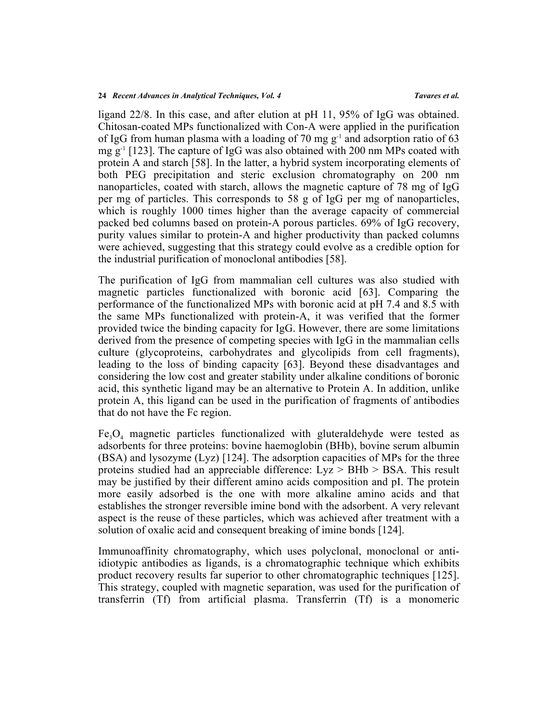ligand 22/8. In this case, and after elution at pH 11, 95% of IgG was obtained. Chitosan-coated MPs functionalized with Con-A were applied in the purification of IgG from human plasma with a loading of 70 mg  $g^{-1}$  and adsorption ratio of 63 mg g-1 [[123](#page-35-2)]. The capture of IgG was also obtained with 200 nm MPs coated with protein A and starch [\[58](#page-30-13)]. In the latter, a hybrid system incorporating elements of both PEG precipitation and steric exclusion chromatography on 200 nm nanoparticles, coated with starch, allows the magnetic capture of 78 mg of IgG per mg of particles. This corresponds to 58 g of IgG per mg of nanoparticles, which is roughly 1000 times higher than the average capacity of commercial packed bed columns based on protein-A porous particles. 69% of IgG recovery, purity values similar to protein-A and higher productivity than packed columns were achieved, suggesting that this strategy could evolve as a credible option for the industrial purification of monoclonal antibodies [[58\]](#page-30-13).

The purification of IgG from mammalian cell cultures was also studied with magnetic particles functionalized with boronic acid [\[63](#page-31-1)]. Comparing the performance of the functionalized MPs with boronic acid at pH 7.4 and 8.5 with the same MPs functionalized with protein-A, it was verified that the former provided twice the binding capacity for IgG. However, there are some limitations derived from the presence of competing species with IgG in the mammalian cells culture (glycoproteins, carbohydrates and glycolipids from cell fragments), leading to the loss of binding capacity [\[63\]](#page-31-1). Beyond these disadvantages and considering the low cost and greater stability under alkaline conditions of boronic acid, this synthetic ligand may be an alternative to Protein A. In addition, unlike protein A, this ligand can be used in the purification of fragments of antibodies that do not have the Fc region.

 $Fe<sub>3</sub>O<sub>4</sub>$  magnetic particles functionalized with gluteraldehyde were tested as adsorbents for three proteins: bovine haemoglobin (BHb), bovine serum albumin (BSA) and lysozyme (Lyz) [[124](#page-35-3)]. The adsorption capacities of MPs for the three proteins studied had an appreciable difference: Lyz > BHb > BSA. This result may be justified by their different amino acids composition and pI. The protein more easily adsorbed is the one with more alkaline amino acids and that establishes the stronger reversible imine bond with the adsorbent. A very relevant aspect is the reuse of these particles, which was achieved after treatment with a solution of oxalic acid and consequent breaking of imine bonds [\[124](#page-35-3)].

Immunoaffinity chromatography, which uses polyclonal, monoclonal or antiidiotypic antibodies as ligands, is a chromatographic technique which exhibits product recovery results far superior to other chromatographic techniques [[125](#page-35-4)]. This strategy, coupled with magnetic separation, was used for the purification of transferrin (Tf) from artificial plasma. Transferrin (Tf) is a monomeric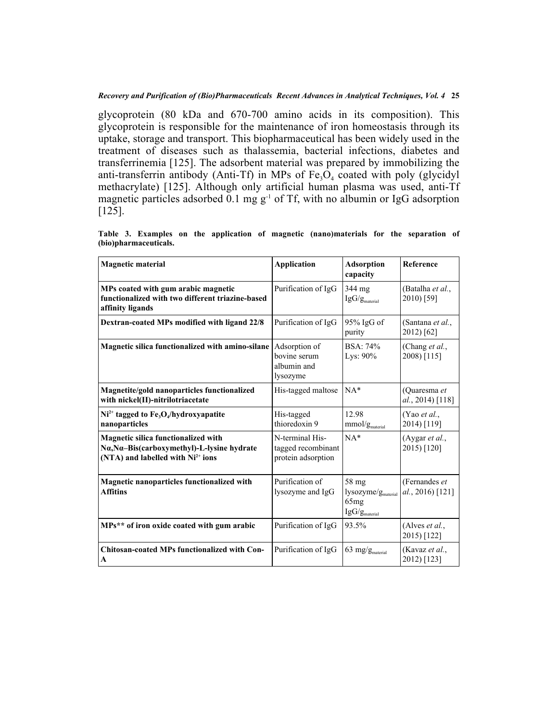glycoprotein (80 kDa and 670-700 amino acids in its composition). This glycoprotein is responsible for the maintenance of iron homeostasis through its uptake, storage and transport. This biopharmaceutical has been widely used in the treatment of diseases such as thalassemia, bacterial infections, diabetes and transferrinemia [[125](#page-35-4)]. The adsorbent material was prepared by immobilizing the anti-transferrin antibody (Anti-Tf) in MPs of  $Fe<sub>3</sub>O<sub>4</sub>$  coated with poly (glycidyl methacrylate)[[125](#page-35-4)]. Although only artificial human plasma was used, anti-Tf magnetic particles adsorbed 0.1 mg  $g^{-1}$  of Tf, with no albumin or IgG adsorption [[125\]](#page-35-4).

| <b>Magnetic material</b>                                                                                                                  | <b>Application</b>                                          | <b>Adsorption</b><br>capacity                                                | Reference                         |
|-------------------------------------------------------------------------------------------------------------------------------------------|-------------------------------------------------------------|------------------------------------------------------------------------------|-----------------------------------|
| MPs coated with gum arabic magnetic<br>functionalized with two different triazine-based<br>affinity ligands                               | Purification of IgG                                         | 344 mg<br>$IgG/g_{\text{material}}$                                          | (Batalha et al.,<br>2010) [59]    |
| Dextran-coated MPs modified with ligand 22/8                                                                                              | Purification of IgG                                         | 95% IgG of<br>purity                                                         | (Santana et al.,<br>2012) [62]    |
| Magnetic silica functionalized with amino-silane                                                                                          | Adsorption of<br>bovine serum<br>albumin and<br>lysozyme    | <b>BSA: 74%</b><br>Lys: $90\%$                                               | (Chang et al.,<br>2008) [115]     |
| Magnetite/gold nanoparticles functionalized<br>with nickel(II)-nitrilotriacetate                                                          | His-tagged maltose                                          | $NA*$                                                                        | (Quaresma et<br>al., 2014) [118]  |
| $Ni2+$ tagged to $Fe3O4/hydroxyapatite$<br>nanoparticles                                                                                  | His-tagged<br>thioredoxin 9                                 | 12.98<br>mmol/g <sub>material</sub>                                          | (Yao et al.,<br>2014) [119]       |
| <b>Magnetic silica functionalized with</b><br>Na, Na-Bis(carboxymethyl)-L-lysine hydrate<br>(NTA) and labelled with Ni <sup>2+</sup> ions | N-terminal His-<br>tagged recombinant<br>protein adsorption | $NA*$                                                                        | (Aygar et al.,<br>2015) [120]     |
| <b>Magnetic nanoparticles functionalized with</b><br><b>Affitins</b>                                                                      | Purification of<br>lysozyme and IgG                         | 58 mg<br>lysozyme/g <sub>material</sub><br>65mg<br>$IgG/g_{\text{material}}$ | (Fernandes et<br>al., 2016) [121] |
| MPs** of iron oxide coated with gum arabic                                                                                                | Purification of IgG                                         | 93.5%                                                                        | (Alves $et al.,$<br>2015) [122]   |
| <b>Chitosan-coated MPs functionalized with Con-</b><br>A                                                                                  | Purification of IgG                                         | $63$ mg/ $g_{\text{material}}$                                               | (Kavaz et al.,<br>2012) [123]     |

<span id="page-24-0"></span>**Table 3. Examples on the application of magnetic (nano)materials for the separation of (bio)pharmaceuticals.**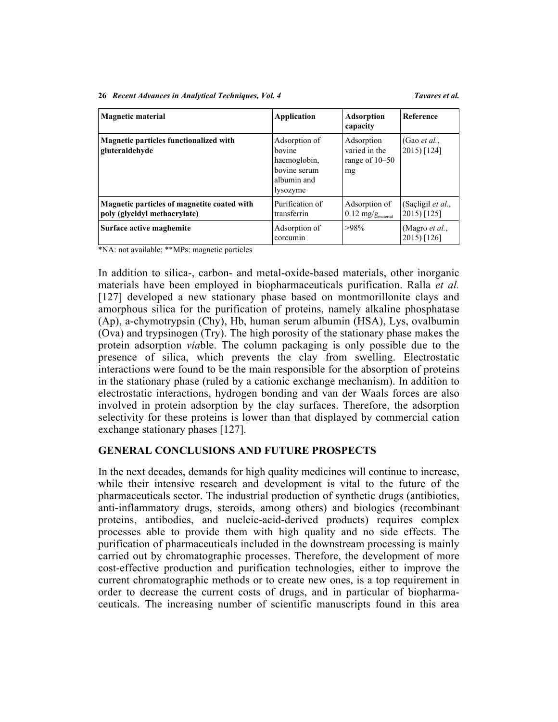| <b>Magnetic material</b>                                                    | <b>Application</b>                                                                 | <b>Adsorption</b><br>capacity                          | Reference                             |
|-----------------------------------------------------------------------------|------------------------------------------------------------------------------------|--------------------------------------------------------|---------------------------------------|
| Magnetic particles functionalized with<br>gluteraldehyde                    | Adsorption of<br>hovine<br>haemoglobin,<br>bovine serum<br>albumin and<br>lysozyme | Adsorption<br>varied in the<br>range of 10–50<br>mg    | (Gao <i>et al.</i> ,<br>2015) [124]   |
| Magnetic particles of magnetite coated with<br>poly (glycidyl methacrylate) | Purification of<br>transferrin                                                     | Adsorption of<br>$0.12 \text{ mg/g}_{\text{material}}$ | (Saçligil et al.,<br>2015) [125]      |
| Surface active maghemite                                                    | Adsorption of<br>corcumin                                                          | $>98\%$                                                | (Magro <i>et al.</i> ,<br>2015) [126] |

\*NA: not available; \*\*MPs: magnetic particles

In addition to silica-, carbon- and metal-oxide-based materials, other inorganic materials have been employed in biopharmaceuticals purification. Ralla *et al.* [[127](#page-35-6)] developed a new stationary phase based on montmorillonite clays and amorphous silica for the purification of proteins, namely alkaline phosphatase (Ap), a-chymotrypsin (Chy), Hb, human serum albumin (HSA), Lys, ovalbumin (Ova) and trypsinogen (Try). The high porosity of the stationary phase makes the protein adsorption *via*ble. The column packaging is only possible due to the presence of silica, which prevents the clay from swelling. Electrostatic interactions were found to be the main responsible for the absorption of proteins in the stationary phase (ruled by a cationic exchange mechanism). In addition to electrostatic interactions, hydrogen bonding and van der Waals forces are also involved in protein adsorption by the clay surfaces. Therefore, the adsorption selectivity for these proteins is lower than that displayed by commercial cation exchange stationary phases [\[127](#page-35-6)].

## **GENERAL CONCLUSIONS AND FUTURE PROSPECTS**

In the next decades, demands for high quality medicines will continue to increase, while their intensive research and development is vital to the future of the pharmaceuticals sector. The industrial production of synthetic drugs (antibiotics, anti-inflammatory drugs, steroids, among others) and biologics (recombinant proteins, antibodies, and nucleic-acid-derived products) requires complex processes able to provide them with high quality and no side effects. The purification of pharmaceuticals included in the downstream processing is mainly carried out by chromatographic processes. Therefore, the development of more cost-effective production and purification technologies, either to improve the current chromatographic methods or to create new ones, is a top requirement in order to decrease the current costs of drugs, and in particular of biopharmaceuticals. The increasing number of scientific manuscripts found in this area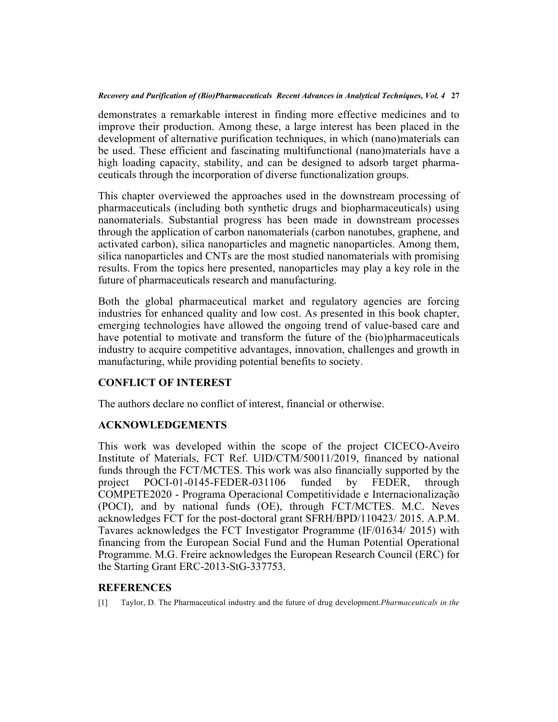demonstrates a remarkable interest in finding more effective medicines and to improve their production. Among these, a large interest has been placed in the development of alternative purification techniques, in which (nano)materials can be used. These efficient and fascinating multifunctional (nano)materials have a high loading capacity, stability, and can be designed to adsorb target pharmaceuticals through the incorporation of diverse functionalization groups.

This chapter overviewed the approaches used in the downstream processing of pharmaceuticals (including both synthetic drugs and biopharmaceuticals) using nanomaterials. Substantial progress has been made in downstream processes through the application of carbon nanomaterials (carbon nanotubes, graphene, and activated carbon), silica nanoparticles and magnetic nanoparticles. Among them, silica nanoparticles and CNTs are the most studied nanomaterials with promising results. From the topics here presented, nanoparticles may play a key role in the future of pharmaceuticals research and manufacturing.

Both the global pharmaceutical market and regulatory agencies are forcing industries for enhanced quality and low cost. As presented in this book chapter, emerging technologies have allowed the ongoing trend of value-based care and have potential to motivate and transform the future of the (bio)pharmaceuticals industry to acquire competitive advantages, innovation, challenges and growth in manufacturing, while providing potential benefits to society.

## **CONFLICT OF INTEREST**

The authors declare no conflict of interest, financial or otherwise.

## **ACKNOWLEDGEMENTS**

This work was developed within the scope of the project CICECO-Aveiro Institute of Materials, FCT Ref. UID/CTM/50011/2019, financed by national funds through the FCT/MCTES. This work was also financially supported by the project POCI-01-0145-FEDER-031106 funded by FEDER, through COMPETE2020 - Programa Operacional Competitividade e Internacionalização (POCI), and by national funds (OE), through FCT/MCTES. M.C. Neves acknowledges FCT for the post-doctoral grant SFRH/BPD/110423/ 2015. A.P.M. Tavares acknowledges the FCT Investigator Programme (IF/01634/ 2015) with financing from the European Social Fund and the Human Potential Operational Programme. M.G. Freire acknowledges the European Research Council (ERC) for the Starting Grant ERC-2013-StG-337753.

## **REFERENCES**

<span id="page-26-0"></span>[1] Taylor, D. The Pharmaceutical industry and the future of drug development.*Pharmaceuticals in the*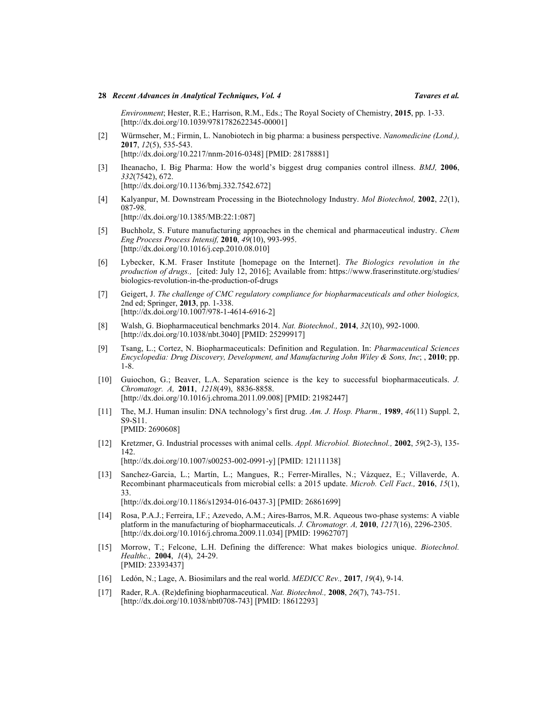*Environment*; Hester, R.E.; Harrison, R.M., Eds.; The Royal Society of Chemistry, **2015**, pp. 1-33. [<http://dx.doi.org/10.1039/9781782622345-00001>]

- <span id="page-27-0"></span>[2] Würmseher, M.; Firmin, L. Nanobiotech in big pharma: a business perspective. *Nanomedicine (Lond.),* **2017**, *12*(5), 535-543. [<http://dx.doi.org/10.2217/nnm-2016-0348>] [PMID: [28178881\]](http://www.ncbi.nlm.nih.gov/pubmed/28178881)
- <span id="page-27-1"></span>[3] Iheanacho, I. Big Pharma: How the world's biggest drug companies control illness. *BMJ,* **2006**, *332*(7542), 672.

[<http://dx.doi.org/10.1136/bmj.332.7542.672>]

<span id="page-27-2"></span>[4] Kalyanpur, M. Downstream Processing in the Biotechnology Industry. *Mol Biotechnol,* **2002**, *22*(1), 087-98. [[http://dx.doi.org/10.1385/MB:22:1:087\]](http://dx.doi.org/10.1385/MB:22:1:087)

<span id="page-27-3"></span>[5] Buchholz, S. Future manufacturing approaches in the chemical and pharmaceutical industry. *Chem Eng Process Process Intensif,* **2010**, *49*(10), 993-995.

- [[http://dx.doi.org/10.1016/j.cep.2010.08.010\]](http://dx.doi.org/10.1016/j.cep.2010.08.010)
- <span id="page-27-4"></span>[6] Lybecker, K.M. Fraser Institute [homepage on the Internet]. *The Biologics revolution in the production of drugs.,* [cited: July 12, 2016]; Available from: [https://www.fraserinstitute.org/studies/](https://www.fraserinstitute.org/studies/biologics-revolution-in-the-production-of-drugs) [biologics-revolution-in-the-production-of-drugs](https://www.fraserinstitute.org/studies/biologics-revolution-in-the-production-of-drugs)
- <span id="page-27-5"></span>[7] Geigert, J. *The challenge of CMC regulatory compliance for biopharmaceuticals and other biologics,* 2nd ed; Springer, **2013**, pp. 1-338. [[http://dx.doi.org/10.1007/978-1-4614-6916-2\]](http://dx.doi.org/10.1007/978-1-4614-6916-2)
- <span id="page-27-6"></span>[8] Walsh, G. Biopharmaceutical benchmarks 2014. *Nat. Biotechnol.,* **2014**, *32*(10), 992-1000. [<http://dx.doi.org/10.1038/nbt.3040>] [PMID: [25299917\]](http://www.ncbi.nlm.nih.gov/pubmed/25299917)
- <span id="page-27-7"></span>[9] Tsang, L.; Cortez, N. Biopharmaceuticals: Definition and Regulation. In: *Pharmaceutical Sciences Encyclopedia: Drug Discovery, Development, and Manufacturing John Wiley & Sons, Inc*; , **2010**; pp. 1-8.
- <span id="page-27-8"></span>[10] Guiochon, G.; Beaver, L.A. Separation science is the key to successful biopharmaceuticals. *J. Chromatogr. A,* **2011**, *1218*(49), 8836-8858. [<http://dx.doi.org/10.1016/j.chroma.2011.09.008>] [PMID: [21982447\]](http://www.ncbi.nlm.nih.gov/pubmed/21982447)
- <span id="page-27-9"></span>[11] The, M.J. Human insulin: DNA technology's first drug. *Am. J. Hosp. Pharm.,* **1989**, *46*(11) Suppl. 2, S9-S11. [PMID: [2690608](http://www.ncbi.nlm.nih.gov/pubmed/2690608)]
- <span id="page-27-10"></span>[12] Kretzmer, G. Industrial processes with animal cells. *Appl. Microbiol. Biotechnol.,* **2002**, *59*(2-3), 135- 142.

[<http://dx.doi.org/10.1007/s00253-002-0991-y>] [PMID: [12111138\]](http://www.ncbi.nlm.nih.gov/pubmed/12111138)

- <span id="page-27-11"></span>[13] Sanchez-Garcia, L.; Martín, L.; Mangues, R.; Ferrer-Miralles, N.; Vázquez, E.; Villaverde, A. Recombinant pharmaceuticals from microbial cells: a 2015 update. *Microb. Cell Fact.,* **2016**, *15*(1), 33. [<http://dx.doi.org/10.1186/s12934-016-0437-3>] [PMID: [26861699\]](http://www.ncbi.nlm.nih.gov/pubmed/26861699)
- <span id="page-27-12"></span>[14] Rosa, P.A.J.; Ferreira, I.F.; Azevedo, A.M.; Aires-Barros, M.R. Aqueous two-phase systems: A viable platform in the manufacturing of biopharmaceuticals. *J. Chromatogr. A,* **2010**, *1217*(16), 2296-2305. [<http://dx.doi.org/10.1016/j.chroma.2009.11.034>] [PMID: [19962707\]](http://www.ncbi.nlm.nih.gov/pubmed/19962707)
- <span id="page-27-13"></span>[15] Morrow, T.; Felcone, L.H. Defining the difference: What makes biologics unique. *Biotechnol. Healthc.,* **2004**, *1*(4), 24-29. [PMID: [23393437\]](http://www.ncbi.nlm.nih.gov/pubmed/23393437)
- <span id="page-27-14"></span>[16] Ledón, N.; Lage, A. Biosimilars and the real world. *MEDICC Rev.,* **2017**, *19*(4), 9-14.
- <span id="page-27-15"></span>[17] Rader, R.A. (Re)defining biopharmaceutical. *Nat. Biotechnol.,* **2008**, *26*(7), 743-751. [<http://dx.doi.org/10.1038/nbt0708-743>] [PMID: [18612293\]](http://www.ncbi.nlm.nih.gov/pubmed/18612293)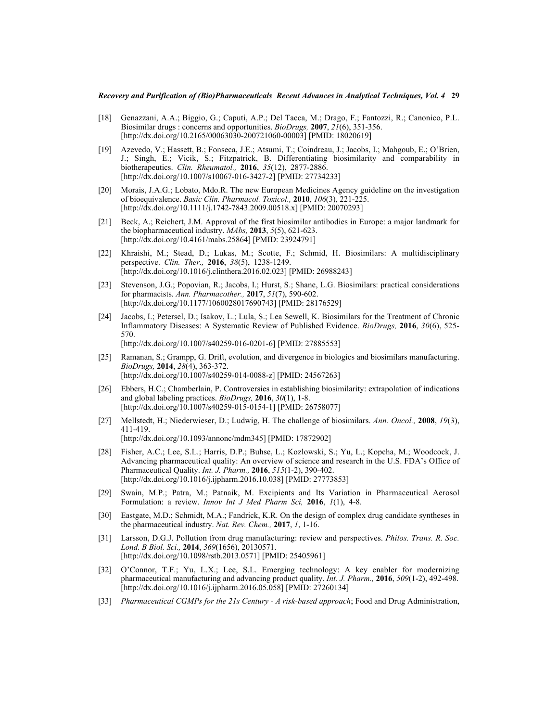- <span id="page-28-0"></span>[18] Genazzani, A.A.; Biggio, G.; Caputi, A.P.; Del Tacca, M.; Drago, F.; Fantozzi, R.; Canonico, P.L. Biosimilar drugs : concerns and opportunities. *BioDrugs,* **2007**, *21*(6), 351-356. [<http://dx.doi.org/10.2165/00063030-200721060-00003>] [PMID: [18020619\]](http://www.ncbi.nlm.nih.gov/pubmed/18020619)
- <span id="page-28-1"></span>[19] Azevedo, V.; Hassett, B.; Fonseca, J.E.; Atsumi, T.; Coindreau, J.; Jacobs, I.; Mahgoub, E.; O'Brien, J.; Singh, E.; Vicik, S.; Fitzpatrick, B. Differentiating biosimilarity and comparability in biotherapeutics. *Clin. Rheumatol.,* **2016**, *35*(12), 2877-2886. [<http://dx.doi.org/10.1007/s10067-016-3427-2>] [PMID: [27734233\]](http://www.ncbi.nlm.nih.gov/pubmed/27734233)
- <span id="page-28-2"></span>[20] Morais, J.A.G.; Lobato, Mdo.R. The new European Medicines Agency guideline on the investigation of bioequivalence. *Basic Clin. Pharmacol. Toxicol.,* **2010**, *106*(3), 221-225. [[http://dx.doi.org/10.1111/j.1742-7843.2009.00518.x\]](http://dx.doi.org/10.1111/j.1742-7843.2009.00518.x) [PMID: [20070293](http://www.ncbi.nlm.nih.gov/pubmed/20070293)]
- <span id="page-28-3"></span>[21] Beck, A.; Reichert, J.M. Approval of the first biosimilar antibodies in Europe: a major landmark for the biopharmaceutical industry. *MAbs,* **2013**, *5*(5), 621-623. [<http://dx.doi.org/10.4161/mabs.25864>] [PMID: [23924791\]](http://www.ncbi.nlm.nih.gov/pubmed/23924791)
- [22] Khraishi, M.; Stead, D.; Lukas, M.; Scotte, F.; Schmid, H. Biosimilars: A multidisciplinary perspective. *Clin. Ther.,* **2016**, *38*(5), 1238-1249. [[http://dx.doi.org/10.1016/j.clinthera.2016.02.023\]](http://dx.doi.org/10.1016/j.clinthera.2016.02.023) [PMID: [26988243](http://www.ncbi.nlm.nih.gov/pubmed/26988243)]
- <span id="page-28-4"></span>[23] Stevenson, J.G.; Popovian, R.; Jacobs, I.; Hurst, S.; Shane, L.G. Biosimilars: practical considerations for pharmacists. *Ann. Pharmacother.,* **2017**, *51*(7), 590-602. [<http://dx.doi.org/10.1177/1060028017690743>] [PMID: [28176529\]](http://www.ncbi.nlm.nih.gov/pubmed/28176529)
- <span id="page-28-5"></span>[24] Jacobs, I.; Petersel, D.; Isakov, L.; Lula, S.; Lea Sewell, K. Biosimilars for the Treatment of Chronic Inflammatory Diseases: A Systematic Review of Published Evidence. *BioDrugs,* **2016**, *30*(6), 525- 570. [<http://dx.doi.org/10.1007/s40259-016-0201-6>] [PMID: [27885553\]](http://www.ncbi.nlm.nih.gov/pubmed/27885553)
- <span id="page-28-6"></span>[25] Ramanan, S.; Grampp, G. Drift, evolution, and divergence in biologics and biosimilars manufacturing. *BioDrugs,* **2014**, *28*(4), 363-372. [[http://dx.doi.org/10.1007/s40259-014-0088-z\]](http://dx.doi.org/10.1007/s40259-014-0088-z) [PMID: [24567263](http://www.ncbi.nlm.nih.gov/pubmed/24567263)]
- <span id="page-28-7"></span>[26] Ebbers, H.C.; Chamberlain, P. Controversies in establishing biosimilarity: extrapolation of indications and global labeling practices. *BioDrugs,* **2016**, *30*(1), 1-8. [<http://dx.doi.org/10.1007/s40259-015-0154-1>] [PMID: [26758077\]](http://www.ncbi.nlm.nih.gov/pubmed/26758077)
- <span id="page-28-8"></span>[27] Mellstedt, H.; Niederwieser, D.; Ludwig, H. The challenge of biosimilars. *Ann. Oncol.,* **2008**, *19*(3), 411-419. [[http://dx.doi.org/10.1093/annonc/mdm345\]](http://dx.doi.org/10.1093/annonc/mdm345) [PMID: [17872902](http://www.ncbi.nlm.nih.gov/pubmed/17872902)]
- <span id="page-28-9"></span>[28] Fisher, A.C.; Lee, S.L.; Harris, D.P.; Buhse, L.; Kozlowski, S.; Yu, L.; Kopcha, M.; Woodcock, J. Advancing pharmaceutical quality: An overview of science and research in the U.S. FDA's Office of Pharmaceutical Quality. *Int. J. Pharm.,* **2016**, *515*(1-2), 390-402. [<http://dx.doi.org/10.1016/j.ijpharm.2016.10.038>] [PMID: [27773853\]](http://www.ncbi.nlm.nih.gov/pubmed/27773853)
- <span id="page-28-10"></span>[29] Swain, M.P.; Patra, M.; Patnaik, M. Excipients and Its Variation in Pharmaceutical Aerosol Formulation: a review. *Innov Int J Med Pharm Sci,* **2016**, *1*(1), 4-8.
- <span id="page-28-11"></span>[30] Eastgate, M.D.; Schmidt, M.A.; Fandrick, K.R. On the design of complex drug candidate syntheses in the pharmaceutical industry. *Nat. Rev. Chem.,* **2017**, *1*, 1-16.
- <span id="page-28-12"></span>[31] Larsson, D.G.J. Pollution from drug manufacturing: review and perspectives. *Philos. Trans. R. Soc. Lond. B Biol. Sci.,* **2014**, *369*(1656), 20130571. [<http://dx.doi.org/10.1098/rstb.2013.0571>] [PMID: [25405961\]](http://www.ncbi.nlm.nih.gov/pubmed/25405961)
- <span id="page-28-13"></span>[32] O'Connor, T.F.; Yu, L.X.; Lee, S.L. Emerging technology: A key enabler for modernizing pharmaceutical manufacturing and advancing product quality. *Int. J. Pharm.,* **2016**, *509*(1-2), 492-498. [<http://dx.doi.org/10.1016/j.ijpharm.2016.05.058>] [PMID: [27260134\]](http://www.ncbi.nlm.nih.gov/pubmed/27260134)
- <span id="page-28-14"></span>[33] *Pharmaceutical CGMPs for the 21s Century - A risk-based approach*; Food and Drug Administration,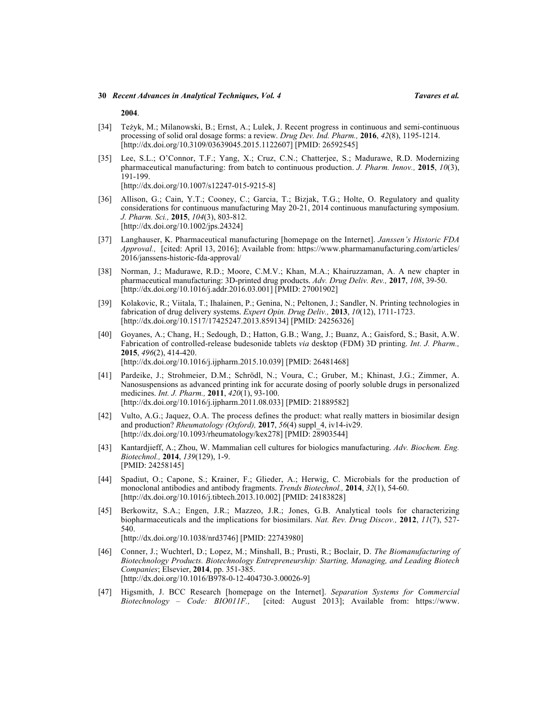**2004**.

- <span id="page-29-0"></span>[34] Teżyk, M.; Milanowski, B.; Ernst, A.; Lulek, J. Recent progress in continuous and semi-continuous processing of solid oral dosage forms: a review. *Drug Dev. Ind. Pharm.,* **2016**, *42*(8), 1195-1214. [<http://dx.doi.org/10.3109/03639045.2015.1122607>] [PMID: [26592545\]](http://www.ncbi.nlm.nih.gov/pubmed/26592545)
- <span id="page-29-1"></span>[35] Lee, S.L.; O'Connor, T.F.; Yang, X.; Cruz, C.N.; Chatterjee, S.; Madurawe, R.D. Modernizing pharmaceutical manufacturing: from batch to continuous production. *J. Pharm. Innov.,* **2015**, *10*(3), 191-199.

[<http://dx.doi.org/10.1007/s12247-015-9215-8>]

- <span id="page-29-2"></span>[36] Allison, G.; Cain, Y.T.; Cooney, C.; Garcia, T.; Bizjak, T.G.; Holte, O. Regulatory and quality considerations for continuous manufacturing May 20-21, 2014 continuous manufacturing symposium. *J. Pharm. Sci.,* **2015**, *104*(3), 803-812. [[http://dx.doi.org/10.1002/jps.24324\]](http://dx.doi.org/10.1002/jps.24324)
- <span id="page-29-3"></span>[37] Langhauser, K. Pharmaceutical manufacturing [homepage on the Internet]. *Janssen's Historic FDA Approval.,* [cited: April 13, 2016]; Available from: [https://www.pharmamanufacturing.com/articles/](https://www.pharmamanufacturing.com/articles/2016/janssens-historic-fda-approval/) [2016/janssens-historic-fda-approval/](https://www.pharmamanufacturing.com/articles/2016/janssens-historic-fda-approval/)
- <span id="page-29-4"></span>[38] Norman, J.; Madurawe, R.D.; Moore, C.M.V.; Khan, M.A.; Khairuzzaman, A. A new chapter in pharmaceutical manufacturing: 3D-printed drug products. *Adv. Drug Deliv. Rev.,* **2017**, *108*, 39-50. [<http://dx.doi.org/10.1016/j.addr.2016.03.001>] [PMID: [27001902\]](http://www.ncbi.nlm.nih.gov/pubmed/27001902)
- <span id="page-29-5"></span>[39] Kolakovic, R.; Viitala, T.; Ihalainen, P.; Genina, N.; Peltonen, J.; Sandler, N. Printing technologies in fabrication of drug delivery systems. *Expert Opin. Drug Deliv.,* **2013**, *10*(12), 1711-1723. [[http://dx.doi.org/10.1517/17425247.2013.859134\]](http://dx.doi.org/10.1517/17425247.2013.859134) [PMID: [24256326](http://www.ncbi.nlm.nih.gov/pubmed/24256326)]
- <span id="page-29-6"></span>[40] Goyanes, A.; Chang, H.; Sedough, D.; Hatton, G.B.; Wang, J.; Buanz, A.; Gaisford, S.; Basit, A.W. Fabrication of controlled-release budesonide tablets *via* desktop (FDM) 3D printing. *Int. J. Pharm.,* **2015**, *496*(2), 414-420. [<http://dx.doi.org/10.1016/j.ijpharm.2015.10.039>] [PMID: [26481468\]](http://www.ncbi.nlm.nih.gov/pubmed/26481468)
- <span id="page-29-7"></span>[41] Pardeike, J.; Strohmeier, D.M.; Schrödl, N.; Voura, C.; Gruber, M.; Khinast, J.G.; Zimmer, A. Nanosuspensions as advanced printing ink for accurate dosing of poorly soluble drugs in personalized medicines. *Int. J. Pharm.,* **2011**, *420*(1), 93-100. [<http://dx.doi.org/10.1016/j.ijpharm.2011.08.033>] [PMID: [21889582\]](http://www.ncbi.nlm.nih.gov/pubmed/21889582)
- <span id="page-29-8"></span>[42] Vulto, A.G.; Jaquez, O.A. The process defines the product: what really matters in biosimilar design and production? *Rheumatology (Oxford),* **2017**, *56*(4) suppl\_4, iv14-iv29. [<http://dx.doi.org/10.1093/rheumatology/kex278>] [PMID: [28903544\]](http://www.ncbi.nlm.nih.gov/pubmed/28903544)
- <span id="page-29-9"></span>[43] Kantardjieff, A.; Zhou, W. Mammalian cell cultures for biologics manufacturing. *Adv. Biochem. Eng. Biotechnol.,* **2014**, *139*(129), 1-9. [PMID: [24258145\]](http://www.ncbi.nlm.nih.gov/pubmed/24258145)
- <span id="page-29-10"></span>[44] Spadiut, O.; Capone, S.; Krainer, F.; Glieder, A.; Herwig, C. Microbials for the production of monoclonal antibodies and antibody fragments. *Trends Biotechnol.,* **2014**, *32*(1), 54-60. [[http://dx.doi.org/10.1016/j.tibtech.2013.10.002\]](http://dx.doi.org/10.1016/j.tibtech.2013.10.002) [PMID: [24183828](http://www.ncbi.nlm.nih.gov/pubmed/24183828)]
- <span id="page-29-11"></span>[45] Berkowitz, S.A.; Engen, J.R.; Mazzeo, J.R.; Jones, G.B. Analytical tools for characterizing biopharmaceuticals and the implications for biosimilars. *Nat. Rev. Drug Discov.,* **2012**, *11*(7), 527- 540. [<http://dx.doi.org/10.1038/nrd3746>] [PMID: [22743980\]](http://www.ncbi.nlm.nih.gov/pubmed/22743980)
- <span id="page-29-12"></span>[46] Conner, J.; Wuchterl, D.; Lopez, M.; Minshall, B.; Prusti, R.; Boclair, D. *The Biomanufacturing of Biotechnology Products. Biotechnology Entrepreneurship: Starting, Managing, and Leading Biotech Companies*; Elsevier, **2014**, pp. 351-385. [<http://dx.doi.org/10.1016/B978-0-12-404730-3.00026-9>]
- <span id="page-29-13"></span>[47] Higsmith, J. BCC Research [homepage on the Internet]. *Separation Systems for Commercial Biotechnology – Code: BIO011F.,* [cited: August 2013]; Available from: [https://www.](https://www.bccresearch.com/market-research/biotechnology/separation-systems-commercial-biotechnology-bio011f.html)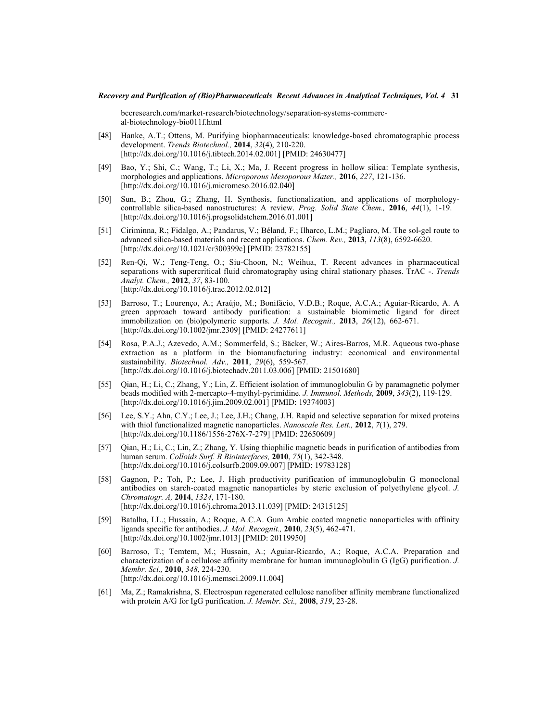[bccresearch.com/market-research/biotechnology/separation-systems-commerc](https://www.bccresearch.com/market-research/biotechnology/separation-systems-commercial-biotechnology-bio011f.html)[al-biotechnology-bio011f.html](https://www.bccresearch.com/market-research/biotechnology/separation-systems-commercial-biotechnology-bio011f.html)

- <span id="page-30-0"></span>[48] Hanke, A.T.; Ottens, M. Purifying biopharmaceuticals: knowledge-based chromatographic process development. *Trends Biotechnol.,* **2014**, *32*(4), 210-220. [[http://dx.doi.org/10.1016/j.tibtech.2014.02.001\]](http://dx.doi.org/10.1016/j.tibtech.2014.02.001) [PMID: [24630477](http://www.ncbi.nlm.nih.gov/pubmed/24630477)]
- <span id="page-30-1"></span>[49] Bao, Y.; Shi, C.; Wang, T.; Li, X.; Ma, J. Recent progress in hollow silica: Template synthesis, morphologies and applications. *Microporous Mesoporous Mater.,* **2016**, *227*, 121-136. [<http://dx.doi.org/10.1016/j.micromeso.2016.02.040>]
- <span id="page-30-2"></span>[50] Sun, B.; Zhou, G.; Zhang, H. Synthesis, functionalization, and applications of morphologycontrollable silica-based nanostructures: A review. *Prog. Solid State Chem.,* **2016**, *44*(1), 1-19. [[http://dx.doi.org/10.1016/j.progsolidstchem.2016.01.001\]](http://dx.doi.org/10.1016/j.progsolidstchem.2016.01.001)
- <span id="page-30-3"></span>[51] Ciriminna, R.; Fidalgo, A.; Pandarus, V.; Béland, F.; Ilharco, L.M.; Pagliaro, M. The sol-gel route to advanced silica-based materials and recent applications. *Chem. Rev.,* **2013**, *113*(8), 6592-6620. [<http://dx.doi.org/10.1021/cr300399c>] [PMID: [23782155\]](http://www.ncbi.nlm.nih.gov/pubmed/23782155)
- <span id="page-30-4"></span>[52] Ren-Qi, W.; Teng-Teng, O.; Siu-Choon, N.; Weihua, T. Recent advances in pharmaceutical separations with supercritical fluid chromatography using chiral stationary phases. TrAC -. *Trends Analyt. Chem.,* **2012**, *37*, 83-100. [[http://dx.doi.org/10.1016/j.trac.2012.02.012\]](http://dx.doi.org/10.1016/j.trac.2012.02.012)
- <span id="page-30-5"></span>[53] Barroso, T.; Lourenço, A.; Araújo, M.; Bonifácio, V.D.B.; Roque, A.C.A.; Aguiar-Ricardo, A. A green approach toward antibody purification: a sustainable biomimetic ligand for direct immobilization on (bio)polymeric supports. *J. Mol. Recognit.,* **2013**, *26*(12), 662-671. [<http://dx.doi.org/10.1002/jmr.2309>] [PMID: [24277611\]](http://www.ncbi.nlm.nih.gov/pubmed/24277611)
- <span id="page-30-6"></span>[54] Rosa, P.A.J.; Azevedo, A.M.; Sommerfeld, S.; Bäcker, W.; Aires-Barros, M.R. Aqueous two-phase extraction as a platform in the biomanufacturing industry: economical and environmental sustainability. *Biotechnol. Adv.,* **2011**, *29*(6), 559-567. [[http://dx.doi.org/10.1016/j.biotechadv.2011.03.006\]](http://dx.doi.org/10.1016/j.biotechadv.2011.03.006) [PMID: [21501680](http://www.ncbi.nlm.nih.gov/pubmed/21501680)]
- <span id="page-30-7"></span>[55] Qian, H.; Li, C.; Zhang, Y.; Lin, Z. Efficient isolation of immunoglobulin G by paramagnetic polymer beads modified with 2-mercapto-4-mythyl-pyrimidine. *J. Immunol. Methods,* **2009**, *343*(2), 119-129. [<http://dx.doi.org/10.1016/j.jim.2009.02.001>] [PMID: [19374003\]](http://www.ncbi.nlm.nih.gov/pubmed/19374003)
- <span id="page-30-11"></span>[56] Lee, S.Y.; Ahn, C.Y.; Lee, J.; Lee, J.H.; Chang, J.H. Rapid and selective separation for mixed proteins with thiol functionalized magnetic nanoparticles. *Nanoscale Res. Lett.,* **2012**, *7*(1), 279. [<http://dx.doi.org/10.1186/1556-276X-7-279>] [PMID: [22650609\]](http://www.ncbi.nlm.nih.gov/pubmed/22650609)
- <span id="page-30-12"></span>[57] Qian, H.; Li, C.; Lin, Z.; Zhang, Y. Using thiophilic magnetic beads in purification of antibodies from human serum. *Colloids Surf. B Biointerfaces,* **2010**, *75*(1), 342-348. [[http://dx.doi.org/10.1016/j.colsurfb.2009.09.007\]](http://dx.doi.org/10.1016/j.colsurfb.2009.09.007) [PMID: [19783128](http://www.ncbi.nlm.nih.gov/pubmed/19783128)]
- <span id="page-30-13"></span>[58] Gagnon, P.; Toh, P.; Lee, J. High productivity purification of immunoglobulin G monoclonal antibodies on starch-coated magnetic nanoparticles by steric exclusion of polyethylene glycol. *J. Chromatogr. A,* **2014**, *1324*, 171-180. [<http://dx.doi.org/10.1016/j.chroma.2013.11.039>] [PMID: [24315125\]](http://www.ncbi.nlm.nih.gov/pubmed/24315125)
- <span id="page-30-8"></span>[59] Batalha, I.L.; Hussain, A.; Roque, A.C.A. Gum Arabic coated magnetic nanoparticles with affinity ligands specific for antibodies. *J. Mol. Recognit.,* **2010**, *23*(5), 462-471. [<http://dx.doi.org/10.1002/jmr.1013>] [PMID: [20119950\]](http://www.ncbi.nlm.nih.gov/pubmed/20119950)
- <span id="page-30-9"></span>[60] Barroso, T.; Temtem, M.; Hussain, A.; Aguiar-Ricardo, A.; Roque, A.C.A. Preparation and characterization of a cellulose affinity membrane for human immunoglobulin G (IgG) purification. *J. Membr. Sci.,* **2010**, *348*, 224-230. [<http://dx.doi.org/10.1016/j.memsci.2009.11.004>]
- <span id="page-30-10"></span>[61] Ma, Z.; Ramakrishna, S. Electrospun regenerated cellulose nanofiber affinity membrane functionalized with protein A/G for IgG purification. *J. Membr. Sci.,* **2008**, *319*, 23-28.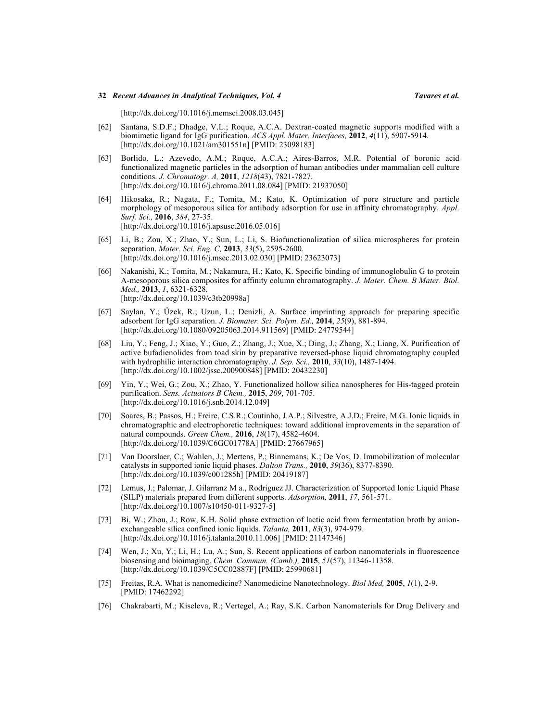[<http://dx.doi.org/10.1016/j.memsci.2008.03.045>]

- <span id="page-31-0"></span>[62] Santana, S.D.F.; Dhadge, V.L.; Roque, A.C.A. Dextran-coated magnetic supports modified with a biomimetic ligand for IgG purification. *ACS Appl. Mater. Interfaces,* **2012**, *4*(11), 5907-5914. [[http://dx.doi.org/10.1021/am301551n\]](http://dx.doi.org/10.1021/am301551n) [PMID: [23098183](http://www.ncbi.nlm.nih.gov/pubmed/23098183)]
- <span id="page-31-1"></span>[63] Borlido, L.; Azevedo, A.M.; Roque, A.C.A.; Aires-Barros, M.R. Potential of boronic acid functionalized magnetic particles in the adsorption of human antibodies under mammalian cell culture conditions. *J. Chromatogr. A,* **2011**, *1218*(43), 7821-7827. [<http://dx.doi.org/10.1016/j.chroma.2011.08.084>] [PMID: [21937050\]](http://www.ncbi.nlm.nih.gov/pubmed/21937050)
- <span id="page-31-2"></span>[64] Hikosaka, R.; Nagata, F.; Tomita, M.; Kato, K. Optimization of pore structure and particle morphology of mesoporous silica for antibody adsorption for use in affinity chromatography. *Appl. Surf. Sci.,* **2016**, *384*, 27-35. [<http://dx.doi.org/10.1016/j.apsusc.2016.05.016>]
- <span id="page-31-5"></span>[65] Li, B.; Zou, X.; Zhao, Y.; Sun, L.; Li, S. Biofunctionalization of silica microspheres for protein separation. *Mater. Sci. Eng. C,* **2013**, *33*(5), 2595-2600. [[http://dx.doi.org/10.1016/j.msec.2013.02.030\]](http://dx.doi.org/10.1016/j.msec.2013.02.030) [PMID: [23623073](http://www.ncbi.nlm.nih.gov/pubmed/23623073)]
- <span id="page-31-4"></span>[66] Nakanishi, K.; Tomita, M.; Nakamura, H.; Kato, K. Specific binding of immunoglobulin G to protein A-mesoporous silica composites for affinity column chromatography. *J. Mater. Chem. B Mater. Biol. Med.,* **2013**, *1*, 6321-6328. [<http://dx.doi.org/10.1039/c3tb20998a>]
- <span id="page-31-3"></span>[67] Saylan, Y.; Üzek, R.; Uzun, L.; Denizli, A. Surface imprinting approach for preparing specific adsorbent for IgG separation. *J. Biomater. Sci. Polym. Ed.,* **2014**, *25*(9), 881-894. [[http://dx.doi.org/10.1080/09205063.2014.911569\]](http://dx.doi.org/10.1080/09205063.2014.911569) [PMID: [24779544](http://www.ncbi.nlm.nih.gov/pubmed/24779544)]
- <span id="page-31-6"></span>[68] Liu, Y.; Feng, J.; Xiao, Y.; Guo, Z.; Zhang, J.; Xue, X.; Ding, J.; Zhang, X.; Liang, X. Purification of active bufadienolides from toad skin by preparative reversed-phase liquid chromatography coupled with hydrophilic interaction chromatography. *J. Sep. Sci.,* **2010**, *33*(10), 1487-1494. [[http://dx.doi.org/10.1002/jssc.200900848\]](http://dx.doi.org/10.1002/jssc.200900848) [PMID: [20432230](http://www.ncbi.nlm.nih.gov/pubmed/20432230)]
- <span id="page-31-7"></span>[69] Yin, Y.; Wei, G.; Zou, X.; Zhao, Y. Functionalized hollow silica nanospheres for His-tagged protein purification. *Sens. Actuators B Chem.,* **2015**, *209*, 701-705. [[http://dx.doi.org/10.1016/j.snb.2014.12.049\]](http://dx.doi.org/10.1016/j.snb.2014.12.049)
- <span id="page-31-8"></span>[70] Soares, B.; Passos, H.; Freire, C.S.R.; Coutinho, J.A.P.; Silvestre, A.J.D.; Freire, M.G. Ionic liquids in chromatographic and electrophoretic techniques: toward additional improvements in the separation of natural compounds. *Green Chem.,* **2016**, *18*(17), 4582-4604. [<http://dx.doi.org/10.1039/C6GC01778A>] [PMID: [27667965\]](http://www.ncbi.nlm.nih.gov/pubmed/27667965)
- <span id="page-31-9"></span>[71] Van Doorslaer, C.; Wahlen, J.; Mertens, P.; Binnemans, K.; De Vos, D. Immobilization of molecular catalysts in supported ionic liquid phases. *Dalton Trans.,* **2010**, *39*(36), 8377-8390. [[http://dx.doi.org/10.1039/c001285h\]](http://dx.doi.org/10.1039/c001285h) [PMID: [20419187](http://www.ncbi.nlm.nih.gov/pubmed/20419187)]
- <span id="page-31-10"></span>[72] Lemus, J.; Palomar, J. Gilarranz M a., Rodriguez JJ. Characterization of Supported Ionic Liquid Phase (SILP) materials prepared from different supports. *Adsorption,* **2011**, *17*, 561-571. [<http://dx.doi.org/10.1007/s10450-011-9327-5>]
- <span id="page-31-11"></span>[73] Bi, W.; Zhou, J.; Row, K.H. Solid phase extraction of lactic acid from fermentation broth by anionexchangeable silica confined ionic liquids. *Talanta,* **2011**, *83*(3), 974-979. [<http://dx.doi.org/10.1016/j.talanta.2010.11.006>] [PMID: [21147346\]](http://www.ncbi.nlm.nih.gov/pubmed/21147346)
- <span id="page-31-12"></span>[74] Wen, J.; Xu, Y.; Li, H.; Lu, A.; Sun, S. Recent applications of carbon nanomaterials in fluorescence biosensing and bioimaging. *Chem. Commun. (Camb.),* **2015**, *51*(57), 11346-11358. [<http://dx.doi.org/10.1039/C5CC02887F>] [PMID: [25990681\]](http://www.ncbi.nlm.nih.gov/pubmed/25990681)
- <span id="page-31-13"></span>[75] Freitas, R.A. What is nanomedicine? Nanomedicine Nanotechnology. *Biol Med,* **2005**, *1*(1), 2-9. [PMID: [17462292\]](http://www.ncbi.nlm.nih.gov/pubmed/17462292)
- <span id="page-31-14"></span>[76] Chakrabarti, M.; Kiseleva, R.; Vertegel, A.; Ray, S.K. Carbon Nanomaterials for Drug Delivery and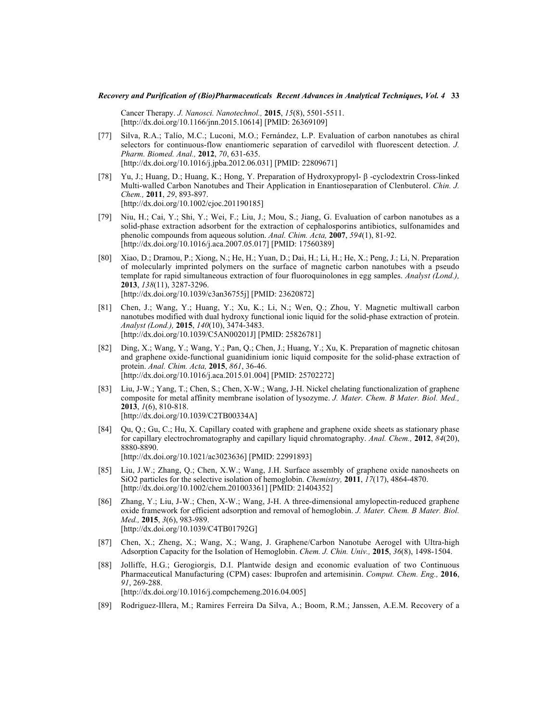Cancer Therapy. *J. Nanosci. Nanotechnol.,* **2015**, *15*(8), 5501-5511. [[http://dx.doi.org/10.1166/jnn.2015.10614\]](http://dx.doi.org/10.1166/jnn.2015.10614) [PMID: [26369109](http://www.ncbi.nlm.nih.gov/pubmed/26369109)]

- <span id="page-32-0"></span>[77] Silva, R.A.; Talío, M.C.; Luconi, M.O.; Fernández, L.P. Evaluation of carbon nanotubes as chiral selectors for continuous-flow enantiomeric separation of carvedilol with fluorescent detection. *J. Pharm. Biomed. Anal.,* **2012**, *70*, 631-635. [[http://dx.doi.org/10.1016/j.jpba.2012.06.031\]](http://dx.doi.org/10.1016/j.jpba.2012.06.031) [PMID: [22809671](http://www.ncbi.nlm.nih.gov/pubmed/22809671)]
- <span id="page-32-1"></span>[78] Yu, J.; Huang, D.; Huang, K.; Hong, Y. Preparation of Hydroxypropyl- β -cyclodextrin Cross-linked Multi-walled Carbon Nanotubes and Their Application in Enantioseparation of Clenbuterol. *Chin. J. Chem.,* **2011**, *29*, 893-897. [<http://dx.doi.org/10.1002/cjoc.201190185>]
- <span id="page-32-2"></span>[79] Niu, H.; Cai, Y.; Shi, Y.; Wei, F.; Liu, J.; Mou, S.; Jiang, G. Evaluation of carbon nanotubes as a solid-phase extraction adsorbent for the extraction of cephalosporins antibiotics, sulfonamides and phenolic compounds from aqueous solution. *Anal. Chim. Acta,* **2007**, *594*(1), 81-92. [<http://dx.doi.org/10.1016/j.aca.2007.05.017>] [PMID: [17560389\]](http://www.ncbi.nlm.nih.gov/pubmed/17560389)
- <span id="page-32-3"></span>[80] Xiao, D.; Dramou, P.; Xiong, N.; He, H.; Yuan, D.; Dai, H.; Li, H.; He, X.; Peng, J.; Li, N. Preparation of molecularly imprinted polymers on the surface of magnetic carbon nanotubes with a pseudo template for rapid simultaneous extraction of four fluoroquinolones in egg samples. *Analyst (Lond.),* **2013**, *138*(11), 3287-3296. [<http://dx.doi.org/10.1039/c3an36755j>] [PMID: [23620872\]](http://www.ncbi.nlm.nih.gov/pubmed/23620872)
- <span id="page-32-4"></span>[81] Chen, J.; Wang, Y.; Huang, Y.; Xu, K.; Li, N.; Wen, Q.; Zhou, Y. Magnetic multiwall carbon nanotubes modified with dual hydroxy functional ionic liquid for the solid-phase extraction of protein. *Analyst (Lond.),* **2015**, *140*(10), 3474-3483. [[http://dx.doi.org/10.1039/C5AN00201J\]](http://dx.doi.org/10.1039/C5AN00201J) [PMID: [25826781](http://www.ncbi.nlm.nih.gov/pubmed/25826781)]
- <span id="page-32-5"></span>[82] Ding, X.; Wang, Y.; Wang, Y.; Pan, Q.; Chen, J.; Huang, Y.; Xu, K. Preparation of magnetic chitosan and graphene oxide-functional guanidinium ionic liquid composite for the solid-phase extraction of protein. *Anal. Chim. Acta,* **2015**, *861*, 36-46. [<http://dx.doi.org/10.1016/j.aca.2015.01.004>] [PMID: [25702272\]](http://www.ncbi.nlm.nih.gov/pubmed/25702272)
- <span id="page-32-6"></span>[83] Liu, J-W.; Yang, T.; Chen, S.; Chen, X-W.; Wang, J-H. Nickel chelating functionalization of graphene composite for metal affinity membrane isolation of lysozyme. *J. Mater. Chem. B Mater. Biol. Med.,* **2013**, *1*(6), 810-818. [<http://dx.doi.org/10.1039/C2TB00334A>]
- <span id="page-32-7"></span>[84] Qu, Q.; Gu, C.; Hu, X. Capillary coated with graphene and graphene oxide sheets as stationary phase for capillary electrochromatography and capillary liquid chromatography. *Anal. Chem.,* **2012**, *84*(20), 8880-8890. [[http://dx.doi.org/10.1021/ac3023636\]](http://dx.doi.org/10.1021/ac3023636) [PMID: [22991893](http://www.ncbi.nlm.nih.gov/pubmed/22991893)]
- <span id="page-32-8"></span>[85] Liu, J.W.; Zhang, Q.; Chen, X.W.; Wang, J.H. Surface assembly of graphene oxide nanosheets on SiO2 particles for the selective isolation of hemoglobin. *Chemistry,* **2011**, *17*(17), 4864-4870. [[http://dx.doi.org/10.1002/chem.201003361\]](http://dx.doi.org/10.1002/chem.201003361) [PMID: [21404352](http://www.ncbi.nlm.nih.gov/pubmed/21404352)]
- <span id="page-32-9"></span>[86] Zhang, Y.; Liu, J-W.; Chen, X-W.; Wang, J-H. A three-dimensional amylopectin-reduced graphene oxide framework for efficient adsorption and removal of hemoglobin. *J. Mater. Chem. B Mater. Biol. Med.,* **2015**, *3*(6), 983-989. [<http://dx.doi.org/10.1039/C4TB01792G>]
- <span id="page-32-10"></span>[87] Chen, X.; Zheng, X.; Wang, X.; Wang, J. Graphene/Carbon Nanotube Aerogel with Ultra-high Adsorption Capacity for the Isolation of Hemoglobin. *Chem. J. Chin. Univ.,* **2015**, *36*(8), 1498-1504.
- <span id="page-32-11"></span>[88] Jolliffe, H.G.; Gerogiorgis, D.I. Plantwide design and economic evaluation of two Continuous Pharmaceutical Manufacturing (CPM) cases: Ibuprofen and artemisinin. *Comput. Chem. Eng.,* **2016**, *91*, 269-288. [[http://dx.doi.org/10.1016/j.compchemeng.2016.04.005\]](http://dx.doi.org/10.1016/j.compchemeng.2016.04.005)
- <span id="page-32-12"></span>[89] Rodriguez-Illera, M.; Ramires Ferreira Da Silva, A.; Boom, R.M.; Janssen, A.E.M. Recovery of a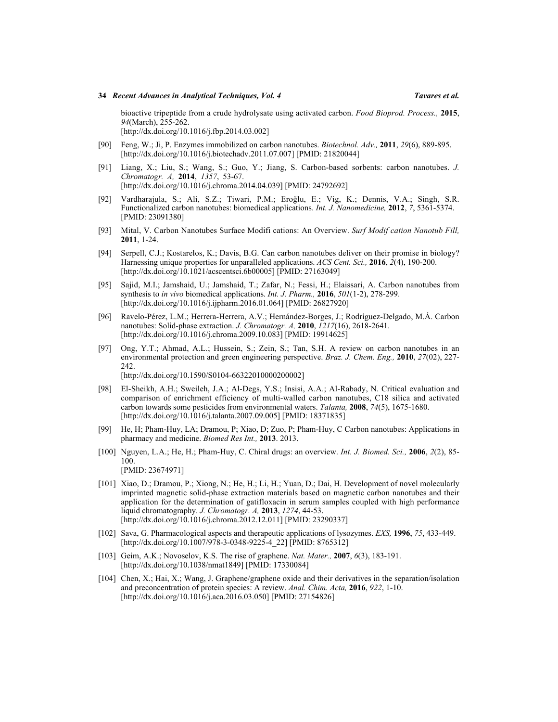bioactive tripeptide from a crude hydrolysate using activated carbon. *Food Bioprod. Process.,* **2015**, *94*(March), 255-262. [<http://dx.doi.org/10.1016/j.fbp.2014.03.002>]

- <span id="page-33-0"></span>[90] Feng, W.; Ji, P. Enzymes immobilized on carbon nanotubes. *Biotechnol. Adv.,* **2011**, *29*(6), 889-895. [[http://dx.doi.org/10.1016/j.biotechadv.2011.07.007\]](http://dx.doi.org/10.1016/j.biotechadv.2011.07.007) [PMID: [21820044](http://www.ncbi.nlm.nih.gov/pubmed/21820044)]
- <span id="page-33-1"></span>[91] Liang, X.; Liu, S.; Wang, S.; Guo, Y.; Jiang, S. Carbon-based sorbents: carbon nanotubes. *J. Chromatogr. A,* **2014**, *1357*, 53-67. [<http://dx.doi.org/10.1016/j.chroma.2014.04.039>] [PMID: [24792692\]](http://www.ncbi.nlm.nih.gov/pubmed/24792692)
- <span id="page-33-2"></span>[92] Vardharajula, S.; Ali, S.Z.; Tiwari, P.M.; Eroğlu, E.; Vig, K.; Dennis, V.A.; Singh, S.R. Functionalized carbon nanotubes: biomedical applications. *Int. J. Nanomedicine,* **2012**, *7*, 5361-5374. [PMID: [23091380\]](http://www.ncbi.nlm.nih.gov/pubmed/23091380)
- <span id="page-33-3"></span>[93] Mital, V. Carbon Nanotubes Surface Modifi cations: An Overview. *Surf Modif cation Nanotub Fill,* **2011**, 1-24.
- <span id="page-33-4"></span>[94] Serpell, C.J.; Kostarelos, K.; Davis, B.G. Can carbon nanotubes deliver on their promise in biology? Harnessing unique properties for unparalleled applications. *ACS Cent. Sci.,* **2016**, *2*(4), 190-200. [[http://dx.doi.org/10.1021/acscentsci.6b00005\]](http://dx.doi.org/10.1021/acscentsci.6b00005) [PMID: [27163049](http://www.ncbi.nlm.nih.gov/pubmed/27163049)]
- [95] Sajid, M.I.; Jamshaid, U.; Jamshaid, T.; Zafar, N.; Fessi, H.; Elaissari, A. Carbon nanotubes from synthesis to *in vivo* biomedical applications. *Int. J. Pharm.,* **2016**, *501*(1-2), 278-299. [<http://dx.doi.org/10.1016/j.ijpharm.2016.01.064>] [PMID: [26827920\]](http://www.ncbi.nlm.nih.gov/pubmed/26827920)
- <span id="page-33-5"></span>[96] Ravelo-Pérez, L.M.; Herrera-Herrera, A.V.; Hernández-Borges, J.; Rodríguez-Delgado, M.Á. Carbon nanotubes: Solid-phase extraction. *J. Chromatogr. A,* **2010**, *1217*(16), 2618-2641. [<http://dx.doi.org/10.1016/j.chroma.2009.10.083>] [PMID: [19914625\]](http://www.ncbi.nlm.nih.gov/pubmed/19914625)
- <span id="page-33-6"></span>[97] Ong, Y.T.; Ahmad, A.L.; Hussein, S.; Zein, S.; Tan, S.H. A review on carbon nanotubes in an environmental protection and green engineering perspective. *Braz. J. Chem. Eng.,* **2010**, *27*(02), 227- 242. [[http://dx.doi.org/10.1590/S0104-66322010000200002\]](http://dx.doi.org/10.1590/S0104-66322010000200002)
- <span id="page-33-7"></span>[98] El-Sheikh, A.H.; Sweileh, J.A.; Al-Degs, Y.S.; Insisi, A.A.; Al-Rabady, N. Critical evaluation and comparison of enrichment efficiency of multi-walled carbon nanotubes, C18 silica and activated carbon towards some pesticides from environmental waters. *Talanta,* **2008**, *74*(5), 1675-1680. [<http://dx.doi.org/10.1016/j.talanta.2007.09.005>] [PMID: [18371835\]](http://www.ncbi.nlm.nih.gov/pubmed/18371835)
- <span id="page-33-8"></span>[99] He, H; Pham-Huy, LA; Dramou, P; Xiao, D; Zuo, P; Pham-Huy, C Carbon nanotubes: Applications in pharmacy and medicine. *Biomed Res Int.,* **2013**. 2013.
- <span id="page-33-9"></span>[100] Nguyen, L.A.; He, H.; Pham-Huy, C. Chiral drugs: an overview. *Int. J. Biomed. Sci.,* **2006**, *2*(2), 85- 100. [PMID: [23674971\]](http://www.ncbi.nlm.nih.gov/pubmed/23674971)
- <span id="page-33-10"></span>[101] Xiao, D.; Dramou, P.; Xiong, N.; He, H.; Li, H.; Yuan, D.; Dai, H. Development of novel molecularly imprinted magnetic solid-phase extraction materials based on magnetic carbon nanotubes and their application for the determination of gatifloxacin in serum samples coupled with high performance liquid chromatography. *J. Chromatogr. A,* **2013**, *1274*, 44-53. [<http://dx.doi.org/10.1016/j.chroma.2012.12.011>] [PMID: [23290337\]](http://www.ncbi.nlm.nih.gov/pubmed/23290337)
- <span id="page-33-11"></span>[102] Sava, G. Pharmacological aspects and therapeutic applications of lysozymes. *EXS,* **1996**, *75*, 433-449. [[http://dx.doi.org/10.1007/978-3-0348-9225-4\\_22](http://dx.doi.org/10.1007/978-3-0348-9225-4_22)] [PMID: [8765312](http://www.ncbi.nlm.nih.gov/pubmed/8765312)]
- <span id="page-33-12"></span>[103] Geim, A.K.; Novoselov, K.S. The rise of graphene. *Nat. Mater.,* **2007**, *6*(3), 183-191. [<http://dx.doi.org/10.1038/nmat1849>] [PMID: [17330084\]](http://www.ncbi.nlm.nih.gov/pubmed/17330084)
- <span id="page-33-13"></span>[104] Chen, X.; Hai, X.; Wang, J. Graphene/graphene oxide and their derivatives in the separation/isolation and preconcentration of protein species: A review. *Anal. Chim. Acta,* **2016**, *922*, 1-10. [<http://dx.doi.org/10.1016/j.aca.2016.03.050>] [PMID: [27154826\]](http://www.ncbi.nlm.nih.gov/pubmed/27154826)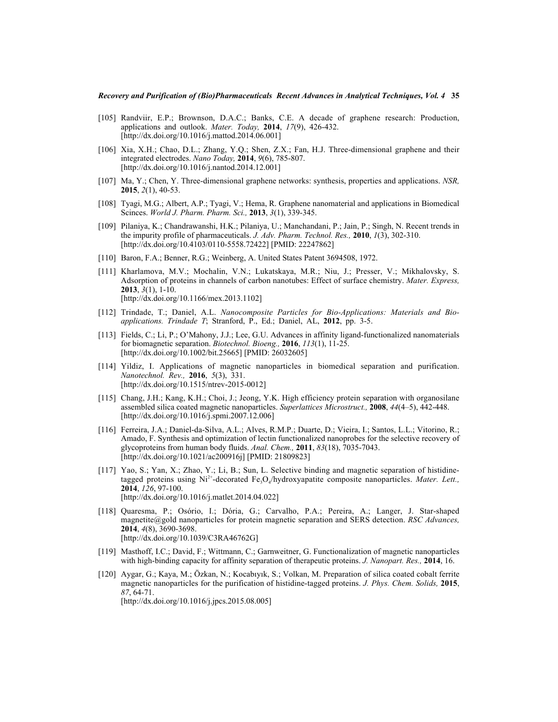- <span id="page-34-0"></span>[105] Randviir, E.P.; Brownson, D.A.C.; Banks, C.E. A decade of graphene research: Production, applications and outlook. *Mater. Today,* **2014**, *17*(9), 426-432. [<http://dx.doi.org/10.1016/j.mattod.2014.06.001>]
- <span id="page-34-1"></span>[106] Xia, X.H.; Chao, D.L.; Zhang, Y.Q.; Shen, Z.X.; Fan, H.J. Three-dimensional graphene and their integrated electrodes. *Nano Today,* **2014**, *9*(6), 785-807. [[http://dx.doi.org/10.1016/j.nantod.2014.12.001\]](http://dx.doi.org/10.1016/j.nantod.2014.12.001)
- <span id="page-34-2"></span>[107] Ma, Y.; Chen, Y. Three-dimensional graphene networks: synthesis, properties and applications. *NSR,* **2015**, *2*(1), 40-53.
- <span id="page-34-3"></span>[108] Tyagi, M.G.; Albert, A.P.; Tyagi, V.; Hema, R. Graphene nanomaterial and applications in Biomedical Scinces. *World J. Pharm. Pharm. Sci.,* **2013**, *3*(1), 339-345.
- <span id="page-34-4"></span>[109] Pilaniya, K.; Chandrawanshi, H.K.; Pilaniya, U.; Manchandani, P.; Jain, P.; Singh, N. Recent trends in the impurity profile of pharmaceuticals. *J. Adv. Pharm. Technol. Res.,* **2010**, *1*(3), 302-310. [<http://dx.doi.org/10.4103/0110-5558.72422>] [PMID: [22247862\]](http://www.ncbi.nlm.nih.gov/pubmed/22247862)
- <span id="page-34-5"></span>[110] Baron, F.A.; Benner, R.G.; Weinberg, A. United States Patent 3694508, 1972.
- <span id="page-34-6"></span>[111] Kharlamova, M.V.; Mochalin, V.N.; Lukatskaya, M.R.; Niu, J.; Presser, V.; Mikhalovsky, S. Adsorption of proteins in channels of carbon nanotubes: Effect of surface chemistry. *Mater. Express,* **2013**, *3*(1), 1-10. [<http://dx.doi.org/10.1166/mex.2013.1102>]
- <span id="page-34-7"></span>[112] Trindade, T.; Daniel, A.L. *Nanocomposite Particles for Bio-Applications: Materials and Bioapplications. Trindade T*; Stranford, P., Ed.; Daniel, AL, **2012**, pp. 3-5.
- <span id="page-34-8"></span>[113] Fields, C.; Li, P.; O'Mahony, J.J.; Lee, G.U. Advances in affinity ligand-functionalized nanomaterials for biomagnetic separation. *Biotechnol. Bioeng.,* **2016**, *113*(1), 11-25. [[http://dx.doi.org/10.1002/bit.25665\]](http://dx.doi.org/10.1002/bit.25665) [PMID: [26032605](http://www.ncbi.nlm.nih.gov/pubmed/26032605)]
- <span id="page-34-9"></span>[114] Yildiz, I. Applications of magnetic nanoparticles in biomedical separation and purification. *Nanotechnol. Rev.,* **2016**, *5*(3), 331. [[http://dx.doi.org/10.1515/ntrev-2015-0012\]](http://dx.doi.org/10.1515/ntrev-2015-0012)
- <span id="page-34-10"></span>[115] Chang, J.H.; Kang, K.H.; Choi, J.; Jeong, Y.K. High efficiency protein separation with organosilane assembled silica coated magnetic nanoparticles. *Superlattices Microstruct.,* **2008**, *44*(4–5), 442-448. [[http://dx.doi.org/10.1016/j.spmi.2007.12.006\]](http://dx.doi.org/10.1016/j.spmi.2007.12.006)
- <span id="page-34-11"></span>[116] Ferreira, J.A.; Daniel-da-Silva, A.L.; Alves, R.M.P.; Duarte, D.; Vieira, I.; Santos, L.L.; Vitorino, R.; Amado, F. Synthesis and optimization of lectin functionalized nanoprobes for the selective recovery of glycoproteins from human body fluids. *Anal. Chem.,* **2011**, *83*(18), 7035-7043. [[http://dx.doi.org/10.1021/ac200916j\]](http://dx.doi.org/10.1021/ac200916j) [PMID: [21809823](http://www.ncbi.nlm.nih.gov/pubmed/21809823)]
- <span id="page-34-12"></span>[117] Yao, S.; Yan, X.; Zhao, Y.; Li, B.; Sun, L. Selective binding and magnetic separation of histidinetagged proteins using Ni<sup>2+</sup>-decorated Fe<sub>3</sub>O<sub>4</sub>/hydroxyapatite composite nanoparticles. *Mater. Lett.*, **2014**, *126*, 97-100. [[http://dx.doi.org/10.1016/j.matlet.2014.04.022\]](http://dx.doi.org/10.1016/j.matlet.2014.04.022)
- <span id="page-34-15"></span>[118] Quaresma, P.; Osório, I.; Dória, G.; Carvalho, P.A.; Pereira, A.; Langer, J. Star-shaped magnetite@gold nanoparticles for protein magnetic separation and SERS detection. *RSC Advances,* **2014**, *4*(8), 3690-3698. [<http://dx.doi.org/10.1039/C3RA46762G>]
- <span id="page-34-13"></span>[119] Masthoff, I.C.; David, F.; Wittmann, C.; Garnweitner, G. Functionalization of magnetic nanoparticles with high-binding capacity for affinity separation of therapeutic proteins. *J. Nanopart. Res.,* **2014**, 16.
- <span id="page-34-14"></span>[120] Aygar, G.; Kaya, M.; Özkan, N.; Kocabıyık, S.; Volkan, M. Preparation of silica coated cobalt ferrite magnetic nanoparticles for the purification of histidine-tagged proteins. *J. Phys. Chem. Solids,* **2015**, *87*, 64-71.

[[http://dx.doi.org/10.1016/j.jpcs.2015.08.005\]](http://dx.doi.org/10.1016/j.jpcs.2015.08.005)